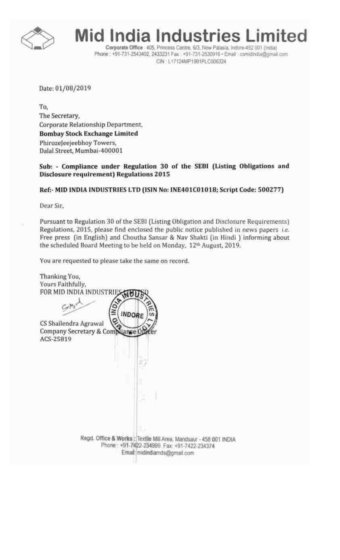

Mid India Industries Limited

Corporate Office . 405, Princess Centre, 6/3, New Palasia, Indore-452 001 (India) Phone: +91-731-2543402, 2433231 Fax: +91-731-2530916 · Email: csmidindia@gmail.com CIN : L17124MP1991PLC006324

Date: 01/09/2019

To. The Secretary, Corporate Relationship Department Bombay Stock Exchange Limited Phirozeleejeebhoy Towers, Dalal Street, Mumbai·40000 I

Sub: - Compliance under Regulation 30 of the SEDI (Listing Obligations and Disclosure requirement) Regulations 2015

### Ref:- MID INDIA INDUSTRIES LTD (ISIN No: INE401C01018; Script Code: 500277)

Dear Sir.

Pursuant to Regulation 30 of the SE81 (listing Obligation and Disclosure Requirements) Regulations. 2015. please find enclosed the public notice published in news papers i.e. Free press (in English) and Choutha Sansar & Nav Shakti (in Hindi J informing about the scheduled Board Meeting to be held on Monday. 12<sup>th</sup> August, 2019.

You are requested to please take the same on record.

Thanking You, Yours Faithfully, FOR MID INDIA INDUSTRIE MUU INDORE CS Shailendra Agrawal Company Secretary & Compliance Office ACS-25819 Regd. Office & Works : Textile Mill Area. Mandsaur - 458 001 INDIA Phone: +91-7422-234999, Fax: +91-7422-234374. Email: midindiamds@gmail.com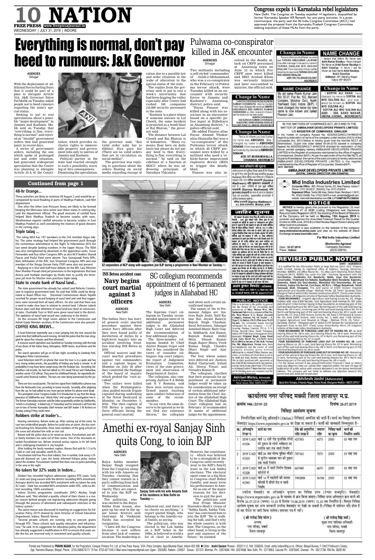**AGENCIES** Srinagar

Two militants including a self-styled 'commander' of Jaish-e-Mohammad, who was a co-conspirator in the February 14 Pulwama terror attack, were Tuesday killed in an encounter with security

forces in Jammu and Kashmir's Anantnag district, police said. "Fayaz Panzoo was killed along with his as-

sociate in an encounter based on a specific police input at Bijbehara in Anantnag district," a police official said. He added Panzoo alias

Fayaz Ahmad Thokar alias Hanzulla Bai was a "co-conspirator" of the Pulwama terror attack in which 40 CRPF personnel were killed by a militant who used a vehicle-borne improvised explosive device (IED) to trigger the deadly blast.

Panzoo was also in-

volved in the deadly at-

W/O AKSHAY DHALANI

Praveen Jain.

Place: Indore

low after marriage I changed my name t ARUNA DHALANI WIO AKSHAY **DHALANI**. From now and in future i will be known by my new name TARUNA DHALAN ADD:195, PALSIKAR COLONY INDORE(M.P

**Change** in Name

This is to inform you that Earlier my nam

05 TARUNA ANILKUMAR LALWAN

declare that Before My Name was Ankit Kumar Sisodiya. I have changed My Name as Ankit Kumar Sisodiya to Ankit Sisodiya. In future I will be known as New Name Ankit Sisodiya. Ankit Sisodiya Address: 381 Bajrang Nagar

**NAME CHANGE** 

Indore MP 452011

### **Change in Name NAME CHANGE**

I SOFIYA ALI KHAN have My old name Pravin Kumar Jair changed my name to SOFIYA ALI R/o 30-31, Flat No. 502, Mahant W/O SULTAN ALI and now Complex, Malahar Gani, Narth would be known as SOFIYA ALI Yashwant Ganj Indore (M.P.) W/O SULTAN ALI have changed my name my new SOFIYA ALI W/O SULTAN ALI name is now known and called ADD: - 333, AZAD NAGAR, INDIRA CHOWK, INDORE(M.P)

IN THE MATTERS OF COMPANIES ACT, 2013 AND IN THE MATTER OF (AMBAJHAR DEVELOPERS PRIVATE LIMITED) V/S REGISTER OF COMPANIES, GWALIOR

the matter of company Appeal No. 423/252(3)/NCLT/AHM/2018 regarding restoration of name of the company under section 252(3) of the companies Act, 2013. Notice is hereby given that the Hon'ble NCLT of Ahemdabad, Gujrat vide order dated 09-04-2019 passed in company Appeal No.423/252(3)/NCLT/ AHM/2018 directed for restoration of the above named company namely AMBAJHAR DEVELOPERS PRIVATE LIMITED in the Register of companies maintained by the office of register of companies, Gwalior (M.P.). As per the said order of the Hon'ble NCTL of Gujrat at Ahemdabad, the name of the said company is hereby restored as AMBAJHAR DEVELOPERS PRIVATE LIMITED in the register maintained by the office of Register of Companies, Gwallor(M.P). DATE 09/07/2019

> AMBAJHAR DEVELOPERS PRIVATE LIMITED (GOPAL DANGI) DIRECTOR DIN:03640762

# **Mid India Industries Limited**

Corporate Office : 405, Princes Centre, 6/3, New Palasia, Indore-1 Phone: 0731-2433231, 2543402, Fax: 0731-2530916 Registered Office: Textile Mil Area, Station Road, Mandsaur-1 (M.P.) Ph.: 07422-234999. Fax: 07422-234374 e-mail: camidindia@gmail.com website: www.midindiaindustries.com CIN: L17124MP1991PLC006324

# NOTICE

NOTICE is hereby given that pursuant to the Regulation 29 read with Regulation 47 of SEBI (Listing Obligations and Disclosure Requirements) Regulation 2015, the meeting of the Board of Directors of the Company will be held on Monday, 12th August, 2019 to consider and approve the Unaudited Financial Result for the Quarter Ended on 30th June, 2019 & Limited Review Report thereon along with other routine busin This intimation is also available on the website of the company www.midindiaindustries.com and also on the website of Stock Exchange at www.bseindia.com. For Mid India Industries Limited **Shallendra Agrawal** Date: 30.07.2019 Company Secretary (ACS-25819)

tack on CRPF personnel at Anantnag town on June 12 in which five CRPF men were killed and SHO Arshad Khan

**Change in Name** 

**ANKITA CHOORASIYA DIO SURESI** 

KUMAR CHOORASIYA Here by Declare

That I have changed My name as ANKITA

CHOURASIA DIO SURESH KUMAR

CHOURASIA so, from now and in future

COLONY, FASE-3, LIMBODI, INDOREALP)

**Change in Name** 

ny name was ABHISHEK. Now

changed my name to ABHISHEK

SONKAR From now and in future i will

be known by my new name ABHISHEK

नाम परिवर्तन की सूचना

सर्वसाधारण को सुबित किया जाता है कि विवाह

के पूर्व में मेरा नाम कुमारी तरता कटारिया (Lata Kataria) पिता श्रीचंद कटारिया था। विवाह के पश्चात मेरा नाम गरिमा वाधवानी (Garima

Wadhwani) पति कुमारचंद वाधवानी हो एया है । अतः भविषय में अब मुझे गरिमा

रामयानी (Garima Wadhwani) पति

क्रमारचंद वाघवाली के नाम से जाना व पहचाना

जावे एवं शासकीय, अशासकीय कार्यालयों में

गरिमा वाधवानी (Garima Wadhwani)

43, देजर टाउनशीप, बिजलपुर, इन्दीर

गेरे पक्षकार भी अल्लंद मंगल विवा भी जमदिश खंद मंगल.

नेवासी - 508, बुद्रा मोपाल मारी, नीमव द्वारा दी गई

सचना

अंकित करवाया जावेगा।

जाहर

DIO SURESH KUMAR CHOURASIA Add 61/101, SHRI KRISHNA AVENUE

This is to inform you that Earlist

ADD: 5/7, MURAI MOHALLA

CHHAWANI, INDOREM.P)

ANKITA CHOURASIA

will be known by my new name.

was seriously injured and later succumbed to injuries, the official said.

**SONKAR** 

# **48-hr Orange...**

These activities are likely to continue till August 2 and would be accompanied by local flooding in parts of Madhya Pradesh, said Met department.

One after the other Low-Pressure Areas are likely to be formed keeping the Monsoon rains active over these states in coming day, said the department official. The good amounts of rainfall have helped West Madhya Pradesh to become surplus with rains. Weatherman expects rainfall amounts to become surplus in East Madhya Pradesh as well considering the chances of good showers



# in the coming days. **Triple talaq ...**

The ruling NDA has 107 members in the 242-member Rajya Sabha. The same strategy had helped the government push through the contentious amendment to the Right To Information (RTI) Act last week despite lacking numbers in the Upper House. The NDA was also strengthened by absentees in the opposition ranks. Oscar Fernandes and four other Congress MPs as also NCP leaders Sharad Pawar and Praful Patel were absent. Two Samajwadi Party MPs, Ram Jethmalani of the RJD, two Trinamool Congress MPs and one member of the Telugu Desam Party (TDP) were also not present. Replying to a four-and-half-hour debate on the Bill, Law Minister Ravi Shankar Prasad cited jail provisions in the legislations that ban dowry and multiple marriages by Hindu men to justify the threeyear jail term for Muslim men practices triple talaq.

# **State to create bank of Nazul land...**

The state government has already has asked Land Reforms Commission to organise government land. He said that SDMs could be designated as Nazul Officer too. Divisional Commissioner Akash Tripathi vouched for proper record keeping of nazul land and said that suggestions were received from all nazul officers. He also said that there was a need to make clear laws in relation to neutral land. Collector Lokesh Kumar Jatav said that allotment of nazul land was done at concessional rates. Charitable Trust or NGO were given nazul land in the district. The updation of nazul land record was underway in the district.

On this occasion RK Singh senior adviser to the Commission and Ashok Gupta Member secretary of the Commission were also present.

# **COFFEE KING BREWS...**

A local fisherman reportedly saw a man jumping into the river around the same time that Siddhartha went missing. He told the police that the man struggled for about five minutes and then drowned.

A massive search operation was launched on Tuesday morning with the help of ace divers of the Indian Navy, helicopters, NDRF teams, local divers and the police.

The search operation will go on till late night, according to Sandeep Patil, Mangaluru Police Commissioner.

New Delhi: The Congress on Tuesday expelled 14 legislators, disqualified by former Karnataka Speaker KR Ramesh, for anti-party activities. In a press communique, the party said the All India Congress Committee (AICC) had approved the proposal from the Karnataka Pradesh Congress Committee seeking expulsion of these MLAs from the party.

Local fishermen told FPJ on phone that since the river is in a spate and has very strong undercurrents, the possibility of finding any body is remote. In all probability it may have been swept away into the Arabian Sea. According Siddhartha's call records, he had last talked to CFO Javed Parvez and Chidambar, another senior CCD official. They were his childhood friends. He reportedly discussed some financial matters. The two are now being questioned by the police.

### **AGENCIES Srinagar**

FREE PRESS www.freepressjournal.in

There are two crucial points: The last live signal from Siddhartha's phone was from the Netravathi river, according to tower records. Secondly, after alighting from the car, he had talked to one more person before his phone went dead.

This prompted senior Congress leader D K Shivakumar to say that the disappearance of Siddhartha was "utterly fishy" and sought an investigation into it. The former Karnataka minister said the letter purportedly written by Siddhartha, "which is circulating", is dated July 27 (Saturday) and he received a call from the son-in-law of former Karnataka chief minister and BJP leader S M Krishna on Sunday asking if they could meet.

# **Robbers strike at trader's...**

Hearing commotion, Balram woke up. After coming out of the room, he saw two unidentified people. Before he could raise an alarm, the duo started thrashing him. Meanwhile, three more members of the gang arrived on the scene and attacked him with an iron rod.

Balram told the police that as he raised an alarm, Purushottam and other family members too came out of their rooms. One of the miscreants attacked Purushottam too. Balram received serious injuries in his left hand and is undergoing treatment in city hospital.

After holding the family members captive, thieves fled with Rs 1.5 to Rs

**52 corporators of NCP along with supporters join BJP during a programme in Navi Mumbai on Tuesday** PTI

2Lakh in cash and valuables worth Rs 20L.

mended appoint ment of 16<br>additional permanent permanent judges to the Allahabad High Court and deferred the recommendation of four additional judges. The three-member col-

Purushottam told Free Press that robbers, five in number, took away a 39 year-old diamond set. Later, the family informed Kshipra police station about the incident. Purushottam claimed that there was no police patrolling in the area in the night.

# **No takers for 32% seats in Indore...**

Dindori has recorded highest admission against RTE seats. Only 32 seats are lying vacant with the district recording 96% enrolment. Annupur district too recorded 96% enrolment with no takers for only 42 seats. State has recorded 86% enrolment under RTE, with no district recording 100% enrolment.

Indore District programme coordinator (DPC) Akshay Singh Rathore said, "Not allotted a quality school of their choice is a major reason behind people not registering admission despite going through the process of allotment and subsequent selection in the lottery system."

The same reason was discussed in meeting on suggestions for Education Policy 2019 chaired by Joint Director of School Education Department, Indore, Manish Verma.

"Several private schools are running only to procure grants through RTE. These schools lack quality education and infrastructure," he said. In its suggestion for education policy, the department has already suggested a modification in RTE to ensure that seats under the Act are reserved only in renowned and quality schools.



**10 NATION**

# **Congress expels 14 Karnataka rebel legislators**

WEDNESDAY | JULY 31, 2019 | INDORE

With the deployment of additional forces fueling fears that it could be part of a plan to abrogate Article 35A, J&K Governor Satya Pal Malik on Tuesday asked people not to heed rumours regarding the state's special status.

Seeking to put to rest speculations about a possible "major development" in Jammu and Kashmir, Malik said on Tuesday that "everything is fine, everything is normal" and rejected as "invalid" government orders that had generated panic in recent days.

A series of government orders, including the one which spoke of prolonged law and order situation, had generated widespread speculation that the Centre was planning to abrogate Article 35-A of the Consti-

tution, which provides exclusive rights to immoveable property and government jobs only to natives of Jammu and Kashmir.

Political parties in the state had reacted strongly to such a possibility, warning of dire consequences. Dismissing the speculation,



social media)".

ration due to a possible law and order situation in the wake of alteration in the special status of the state.

The replies from the governor seek to put to rest a week's uncertainty that had been dogging the valley especially after Centre had rushed 100 companies (10,000 security personnel) to the state.

valid order nahi hai jo dikhayi diya gaya hai (There are no valid orders that are in circulation on The governor was replying to questions about the orders floating on social media regarding storage of The distance between Lal Chowk and Raj Bhavan is 10 kilometres. "Many rumours float here on daily basis but please do not pay any heed to that. Everything is fine, everything is normal," he said on the sidelines of a function at SKICC where he was addressing principals of Navodaya Vidyalaya.

"Kashmir is a place where if someone sneezes in Lal Chowk, the same incident is projected as a bomb blast at Raj Bhavan," the governor said.

# Everything is normal, don't pay heed to rumours: J&K Governor

Pulwama co-conspirator

killed in J&K encounter

# **INS Betwa accident case Navy begins court martial against 3 officers**

### **AGENCIES** New Delhi

The Indian Navy has started general court martial procedure against three senior Navy officials after they were found guilty of dereliction of duties by a high-level inquiry into an accident involving frontline warship INS Betwa in

2016. Official sources said the views of consultee colcourt martial procedures against two commanders and a captain began in Mumbai on July 26 after they contested the findings of the board of inquiry which probed the "rare accident".

# **AGENCIES** New Delhi The Supreme Court collegium on Tuesday recom-

Two sailors were killed when the Brahmaputraclass guided missile frigate capsized during undocking at the Naval Dockyard in Mumbai on December 5, 2016. The then captain of INS Betwa is among the and N V Ramana, said there were certain unconfirmed inputs touching upon conduct/behaviour of some of the recommendees. "In our view, the same de-

three officials facing the general court martial. not find any substance therein," the collegium

leagues (top court judges), the report of Judgement Evaluation Committee, views of the state govern-

Department of Justice.

legium headed by Chief Justice Ranjan Gogoi said that it has considered the Saral Srivastava, Jahangir Jamshed Munir, Rajiv Gupta, Siddharth, Ajit Kumar, Rajnish Kumar, Abdul Moin, Dinesh Kumar Singh, Rajeev Misra, Vivek Kumar Singh, Chandra Dhari Singh and Ajay

### said about such certain unconfirmed inputs.

ment and observation of Bhanot. The four whose names were deferred are: Justices Rahul Chaturvedi, Irshad Ali, Neeraj Tiwari and Virendra Kumar-II.

The names of the 16 Permanent Judges are: Justices Rajiv Joshi, Salil Kumar Rai, Jayant Banerji, Rajesh Singh Chauhan,

The collegium, also comprising Justices S A Bobde The collegium, clarified that their proposals for appointment as permanent judges would be taken up for consideration on receipt of certain additional information from the Chief Justice of the Allahabad High Court. The Allahabad High Court collegium had on

serve to be ignored as we do February 18 recommended 19 names of additional judges for the appointment.

# SC collegium recommends appointment of 16 permanent judges in Allahabad HC

**AGENCIES** New Delhi

Rajya Sabha member Sanjay Singh resigned from the Congress along with his wife Ameeta on Tuesday, claiming that they cannot remain in a party suffering from lack

Wednesday.

was elected to the Rajya Sabha from Assam, also gave up his seat in the upper house. Sources said chairman M Venkaiah Naidu has accepted his hollowed out, and there is no clarity on anything," a report quoted Singh, who belongs to the Amethi royal family, as saying.

resignation. "I have left the Congress because it now suffers from utter lack of communication. The leadership is The politician, who was elected to the Lok Sabha on a BJP ticket in the 1990s, is believed to wield a lot of clout in Amethi.

of communication and clarity. They are expected to join the BJP on **Sanjay Sinh with his wife Ameeta Sinh at his residence in New Delhi on**

The politician, who **Tuesday** PTI

However, the constituency - which was believed to be a stronghold of the Congress until recently went to the BJP's Smriti Irani in the Lok Sabha elections. The electoral upset came as a big blow to Congress chief Rahul Gandhi, and many term his performance in Amethi as one of the major reasons for his decision to quit the post. The politician said that Prime Minister Narendra Modi's vision of "Sabka Saath, Sabka Vishwas" has convinced him to join the BJP. "He is walk-

ing the talk, and that's why the whole country is with him. The Congress, on the other hand, is living in the past and unaware of the future," he claimed.

Printed and Published by PRAVIN NAGAR, for the Proprietors, Compac Printers Pvt. Ltd. at Free Press House, 3/54, Press Complex, Agra-Mumbai Road, Indore-452 008. ■ Editor: Arshit Gautam Phones:- 2555111-2, FAX: 2558555. E Opp. Ravindra Bhawan, Bhopal, Phone: 0755-2660570/71/ 79 Fax: 0755-4271345 E-Mail news.freepress@gmail.com Ujjain:- 2550385. Ratlam:- 234567. Dewas:- 221373. Mumbai, Ph:- 22874566. FAX: 22874688. New Delhi, Ph:- 23718853.



if your It the 40 monety in your पिता भी भीवंद करितक, निवार्यी – फर्केट क्रे. १०५, र-ब्लॉक होरितो अधिस ग्रीन, स्पेस पार्क के सामने, इंग्रीन हास एक अनुबंध निष्क्षेत्रित किया गया था। जिसके अनुसार भी खजीद तेरितत द्वारा मेरे पत्रतार से खाँसे १० लाख जाकिस्पत जाराह्मकरता के चलते प्राप्त किये गए भे और जिलके कदले गेरे का समीपन में भी रही है। जो कि प्राप्त के लिए मानव अधिकास के माधन ने, 170, नहीं कुछ बनायेगें, बाग खजगना, ईचीर के निर्दे का भाग राजाता हेतु प्राप्त गणि के पेटे गैरवी वर्तान दिवा गया था। जिस पर आज दिनांक को भी मेरे प्राच्यार का आर्थियाथ होने के साथ ही निक्षित क्रित है। श्री सतील क्षेत्रीकि द्वारा अनुबंध कि शर्ता को उल्लेखन करते हेतु<br>मेरे पक्षकार कि जानकारी के बिना उक्त मकान का अन्यत सीया किया जा गए है। अंतिर कोई भी साबित या मंगबा उज्ज संघतित के सम्बन्ध में किसी भी प्रकार से कोई संग्रहशाल न करें। मेरे पस कार के साथ भी राजीव कोशिक द्वारा किया गया अनुसंध अपन दिनांक को भी सक्रिय एवं केंद्र है. के विपरीत जवान किया गया प्राचेक अनुबंध तिथि की दृष्टि से माना नहीं<br>है एवं मेरे पक्षकार के अधिकारों के विसद इस्तेमाल नहीं किया<br>जा सकता एवं सात रहे कि उससे होने कभी सन्दूष्ट क्रमि के जवाबदारी ऐसे आतित की स्थयं की रहेगी तथा ऐसा संस्कारण किसी भी तरह से मेरे पश्चकार के प्रति बाधा नहीं होगा। अजय कुमार मिमरोट (अधिवक्ता)

# 12, राम आई जी नंदानगर, इन्दौर मॉ. 9300717171 **PUBLIC NOTICE**

वायोल्यः हीकेएन. 221, नवीन नं. 74. विजय नगरं. इंदौर

This is to inform to the public in genera that the House of the ownership and possession of Mrs. Meena W/a. Mr. Yashwant Pal which is situated at Plot No. 65, Row-House C-2, Rajat Jayanti Complex, Scheme No. 54, Sector - 1 Type-C-2, Indore (M.P.) Plot Area 76.13 Sq.mtr. the aforesaid house having mortgaged by our company - L.I.C Housing Finance Limited, 9/1-A. U.V House, Second Floor, South Tukoganj Indore (M.P.) the loan is being given chain document Original Regd. Lease Deed Cum Sale Deed No. 1A/5432 date 03.12.2012 in favour of Mr. D.R. Verma S/o. Mr. Hajariram Verma have been lost/misplaced and the owner of said property altready given written information to related Police Station, any where, on the basis of which there is not to be dealt any loan, burden, ancumbrance title or right, purchase-sale, agreement a any kind of any transaction by any person society, bank or any other body. If it is done so intimated before 7 days then that would not be binding upon our company and the house owner. Please note

Akhilesh Mishra, Advocate 45-47/A, Bhawanipur Colony, Amapuma<br>Raod, Indone, Mob. 982E3 05177

# **REVISED PUBLIC NOTICE** DATE: 30/07/201

It is notified for the information Public at large that my client J.M.C. Projects India Limited, having its registered office at Kalptaru, Synergy, Santacruz, Mumbai- 400055, site office House No. - 51, Maa Laxmi township, Bistan Road Khargone (M.P.)- 450001 has came into Sale - Purchase Agreement with the Harishankar, Shailendra S/o Bondarial, Maiti, Vijya D/o Bondarial, Umashankar, Tilokchand S/o Babulal, Ajudhyabai Wd/o Bondarlal, Rajendra, Davendra, Ashok S/o Gourishankar, Mamtabai D/o Gourishankar, All cost Brahmin, Kadwa 5/o Ramlal, Cost-Gojar, All R/o's - Village Dalyakhedi, Tehsil Sanawad, Distt. Khargone. The land owner of 0.809 Hectare Irrigated Agricultural Land Situated village - Dabhad, P.H.No. 19, Tehsii- Sanawad, Distt, Khargone Part of which 0.063 Hectare construction of B.P.T. (Tank) under Amba-Rodiya Micro Lift Irrigation scheme of Narmada Valley Development Authority. FOUR BOUNDARIES - Irrigated Agriculture land having Survey No. 69, Village Dabhad with area 0.809 hectare, total Agriculture land revenue Rs. Nill paise part of which 0.063 hectare having its four boundaries as remaining part of the said land bearing khasra No. 69 in east, Remaining part of the said land bearing khasra No. 69 in west, remaining part of the said land bearing khasra No. 69 is North and Remaining part of the said land bearing khasra No. 69 in south. and Survey No. 67, Area 2.910 hectare, Survey No. 68, Area 3.719 hectare & Survey No. 69, Area 0.809 hectare, total Survey No. 3, total area 7.438 hectare, Irrigated Agricultural land Situated at Village - Dabhad, P.H.N. 19, Tehsil Sanawad, District - Khargone part of which 0.199 hectare for Construction of Approach Road to the B.P.T. (Tank) under Amba-Rodiya Micro Lift Irrigation scheme of Narmada Valley Development Authority

FOUR BOUNDARIES OF PURCHASE LAND OUT OF KHASRA NO. 67- as land bearing Khasra No. 68 in east, land bearing Khasra No. 64 in west, Remaining part of the said land bearing Khasra No. 67 in North and Remaining part of the said land bearing Khasra No. 67 in south

FOUR BOUNDARIES OF PURCHASE LAND OUT OF KHASRA NO. 68- Land bearing Khasra no. 69 in east, land bearing Khasra No. 67 in west, Remaining part of the said land bearing khasra No. 68 in North and Remaining part of the said land bearing khasra no. 68 in south

FOUR BOUNDARIES OF PURCHASE LAND OUT OF KHASRA NO. 69 - Remaining part of the said land bearing Khasra No. 69 in east, land bearing Khasra no. 68 n west, Remaining part of the said land bearing khasara No. 69 in North and Remaining part of the said land bearing Khasara No. 69 in south

For the above contract if any person/institution/ Financial / Bank or other have any objection they can submit their objection within the next 15 days of publication of public notice with relevant document's on the below mentioned address. The company will not liable to address any objection beyond this period and sale deed will be executed.

Akhilesh Joshi (Advocate) Back Shiv Temple, 9-Kunda Nagar, Bistan Road, Khargone Mobile : 98272-57717

|                     | कार्यालय नगर परिषद मक्सी जिला शाजापुर म.प्र.                                               |
|---------------------|--------------------------------------------------------------------------------------------|
| क्रमांक 946/2019-20 | दिनांक 26.07.2019                                                                          |
|                     | निविदा आमंत्रण सूचना                                                                       |
|                     | निम्नलिखित कार्य हेतु ऑनलाईन (Online) निविदाएं आर्मोत्रत को जाती हैं। कार्य का विस्तृत विव |
|                     | वेबसाइट https://www.mpetendrs.gov.in पर देखा जा सकता है। कार्यों को जानकारी निम्नानुसार 1  |
|                     |                                                                                            |

| क्र.                    | ऑनलाइन<br>टेण्डर नं. | कार्य का नाम                                                                                                                                                                                                                                                                                                                                                                           | ठेके को अनुमानित<br>राशि लाख में | जमानत<br>राशि | निविदा फार्म<br>का मृत्य                     | कार्य की<br>निर्धारित अवधि |
|-------------------------|----------------------|----------------------------------------------------------------------------------------------------------------------------------------------------------------------------------------------------------------------------------------------------------------------------------------------------------------------------------------------------------------------------------------|----------------------------------|---------------|----------------------------------------------|----------------------------|
| $\mathbf{1}$            | 2019 UAD<br>41336    | वार्ड 13 एबी रोड फुलमिंह लोधी 427393<br>को दुकान से लोधी धर्मशाला का<br>उत्तरीय भाग तक नाली निर्माण                                                                                                                                                                                                                                                                                    |                                  | 4275          | 2000                                         | 03 माह तक                  |
| $\overline{\mathbf{2}}$ | 41333                | 2019 UAD वार्ड 04 बस स्टेण्ड पुलिस चौकी 787163<br>से सुनील भावसार पान की दुकान<br>तक नाली निर्माण                                                                                                                                                                                                                                                                                      |                                  | 7875          | 2000                                         | 03 माह तक                  |
| з                       | 41328                | 2019 UAD वार्ट 04 में नाली निर्माण शिक्षक<br>कॉलोनी में                                                                                                                                                                                                                                                                                                                                | 667440                           | 6675          | 2000                                         | 03 माह तक                  |
| 4                       | 41343                | 2019 UAD वार्ड 14 में गडरोली की समस्त<br>गलियों में सीसी रोड व नाली<br>निर्माण                                                                                                                                                                                                                                                                                                         | 7492808                          | 56196         | 2000                                         | 03 माह तक                  |
|                         |                      |                                                                                                                                                                                                                                                                                                                                                                                        |                                  |               |                                              |                            |
|                         |                      | उपरोक्त वेबसाईट पर ऑनलाईन भुगतान का निविदा प्रपत्र (टेण्डर डाक्यूमेंट) वेबसाईट<br>https://www.mpetendrs.gov.in के माध्यम से क्रय किया जाएगा। निविदा प्रपत्र ऑनलाइन क्रय करने को<br>दिनांक 26.07.2019 (समय) 15.30 से दिनांक 19.08.2019 (समय) 15.30 तक निर्धारित है। विस्तृत निबिद्य<br>आमंत्रण सूचना एवं अन्य जानकारी उपरोक्त वेबसाईट पर देखी जा सकती है। निविदा में संशोधन यदि होता है |                                  |               |                                              |                            |
|                         |                      | तो वह पोर्टल पर जारी किया जावेगा। समाचार पत्र में नहीं।<br>( श्री राजेन्द्र सिंह पटेल )                                                                                                                                                                                                                                                                                                |                                  |               | (श्री राजेन्द्र सिंह वर्मा)                  |                            |
|                         |                      | 胡椒碱<br>नगर परिषद, मक्सी                                                                                                                                                                                                                                                                                                                                                                |                                  |               | मुख्य नगर पालिका अधिकारी<br>नगर परिषद, मक्सी |                            |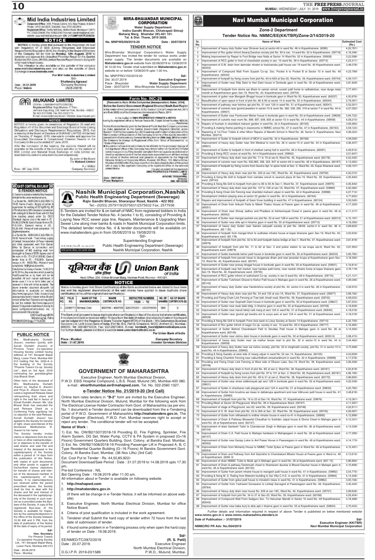



[Pursuant to Rule 30 the Companies (Incorporation) Rules, 2014] Before the Central Government (Regional Director) South East Region In the matter of the Companies Act, 2013, Section 13(4) of Companies Act, 2013

In the matter of OMO PROPERTIES PRIVATE LIMITED aving its registered office at Temple Terace 55, Forjett Street Mumbai 400036 Petitioner

Notice Notice is hereby given to the General Public that the Company proposes to make application to the Central Government (Regional Director) under Section 13 of the Companies Act, 2013 seeking confirmation of alteration of the Memorandum of Association of the Company in terms of the special resolution passed at the Extraordinary General Meeting held on 29th July, 2019 to enable the Company to change its Registered office from 'State of Maharashtra' to

Any person whose interest is likely to be affected by the proposed change of the registered office of the Company may deliver either on the MCA 21 Portal (www.mca.gov.in) by filing investor complaint form or cause to be delivered or send by registered post of his/her objections supported by an affidavit stating the nature of his/her interest and grounds of opposition to the Regional Director, Ministry of Corporate Affairs, Everest, 5th Floor, 100, Marine Drive, Mumbai 400002 within Fourteen days from the date of publication of this notice with a copy to the applicant Company at its registered office at the address

For and on behalf of the Applicant<br>OMO PROPERTIES PRIVATE LIMITE **ARVIND TOSHNIWAL** Director<br>DIN: 00142434 Q

Sd/-

**Nashik Municipal Corporation, Nashik Public Health Engineering Department (Sewerage)** Rajiv Gandhi Bhavan, Sharanpur Road, Nashik - 422 002. Tel:- (0253) 2579119/2575631/2575632 Fax. 2577936 E-Tenders are invited for & on behalf of NMC from registered bidders in India

# **Navi Mumbai Municipal Corporation**

# **Zone-2 Department**

# Tender Notice No. NMMC/EE(KK/TBR)/Zone-2/14/2019-20

| Sr.<br>٧o.      | <b>Name of Work</b>                                                                                                                                                                              | <b>Estimated Cost</b><br>(Rs.) |
|-----------------|--------------------------------------------------------------------------------------------------------------------------------------------------------------------------------------------------|--------------------------------|
| $\mathbf{1}$    | Improvement of heavy duty Gutter near Shravan kunj at sector-4A in ward No. 46 in Koparkhairane. (6090)                                                                                          | 4,02,781/-                     |
| $\overline{2}$  | Improvement of Rcc gutter infront Swaraj Darshan society plot No. 93 in sec. 14 ward No. 52 in Koparkhairane. (59718)                                                                            | 4, 16, 346/-                   |
| 3               | Making Improvement by Repair to Foot Bridge near Nalla at Sector 14 Ward No. 52 in Koparkhairane. (59928)                                                                                        | 3,22,598/-                     |
| $\overline{4}$  | Improvement of RCC gutter in front of chandralok society in sec. 10 ward No. 49 in Koparkhairane. (59713)                                                                                        | $4,25,311/-$                   |
| 5               | Improvement of S.W. drain from damodar mhatre to harichandra patil house sec 19 ward No. 40 Koparkhairane ward.<br>(60203)                                                                       | 3,48,078/-                     |
| 6               | Improvement of Compound Wall From Suyash Co-op. Soc. Pocket A to Pocket B at Sector 10 in ward No. 49<br>Koparkhairane. (60042)                                                                  | 4,23,789/-                     |
| $\overline{7}$  | Improvement of footpath by fixing covers from plot No. 64 to 65A at Sec-20, Ward No. 39, Koparkhairane ward. (59744)                                                                             | 4,09,107/-                     |
| 8               | Improvement of Gutter near Dilip Dalvi to Hari Dalvi house in Donkode gaon in ward No. 50 at Koparkhairane ward.<br>(59626)                                                                      | 3,81,828/-                     |
| 9               | Improvement of footpath from ekvira aai dham to vaman smruti, suresh patil home to radhakishan, near durga mata<br>mandir at Koparkhairane gaon Sec-19, Ward No. 40, Koparkhairane ward. (59754) | $3,77,491/-$                   |
| 10 <sup>°</sup> | Improvement of gutter near Mangesh Bhagat house in bonkode gaon in Ward No 50, Koparkhairane ward. (60037)                                                                                       | 4,00,976/-                     |
| 11              | Beautification of open space in front of plot No. 66 & 80 at sector 14 in ward No. 52 in Koparkhairane. (60044)                                                                                  | $3,78,381/-$                   |
| 12              | Improvement of pathway near krishna apt plot No. 01 sect 12A in ward No. 51 at Koparkhairane ward. (60041)                                                                                       | $3,02,001/-$                   |
| 13              | Improvement of culverts near govind jewelers in sector-15 & room No. 360, 338, 295, 319 at sector-7 in ward No. 44 in<br>Koparkhairane. (59937)                                                  | 4,07,052/-                     |
| 14              | Improvement of Gutter near Parshuram Mehar house in bonkode gaon in ward No. 50 at Koparkhairane ward. (59628)                                                                                   | $3,94,722/-$                   |
| 15              | Improvement of culverts near room No. 699, 697, 648, 605 at sector-15 in ward No. 44 in Koparkhairane. (59938)                                                                                   | 4,09,215/-                     |
| 16              | Repairs of fountain in shantidoot mahavir garden in ward No. 42 in Koparkhairane. (60165)                                                                                                        | 3,95,992/-                     |
| 17              | Providing & making theme painting in classrooms in NMMC school No. 37 in ward No. 47 in Koparkhairane. (60163)                                                                                   | 3,59,123/                      |
| 18              | Repairing of 1st Floor Toilets & other Minor Repairs of Marathi School in Ward No. 46, Sector 5, Koparkhairane, Navi<br>Mumbai. (60214)                                                          | 4,06,022/-                     |
| 19              | Improvement of Gutter & footpath infront of MCH in ward No. 42 in Koparkhairane. (60166)                                                                                                         | 4,09,556/-                     |
| 20              | Improvement of heavy duty Gutter near Shri Medical to room No. 26 in sector-15 in ward No. 44 in Koparkhairane.<br>(59941)                                                                       | 4,06,407/-                     |
| 21              | Improvement of Gutter & footpath in front of shetkari samaj hall in ward No. 46 in Koparkhairane. (60091)                                                                                        | 4,09,912/-                     |
| 22              | Providing & fixing RCC covers at ward No. 44 in Koparkhairane ward. (59942)                                                                                                                      | $3,51,647/-$                   |
| 23              | Improvement of Heavy duty drain near plot No. 11 to 19 at sec-6, Ward No. 45, Koparkhairane ward. (60176)                                                                                        | 4,02,430/-                     |
| 24              | Improvement of culverts near room No. 932,965, 356, 204, 947 at sector-4A in ward No. 46 in Koparkhairane. (60167)                                                                               | 4, 13, 262/-                   |
| 25              | Improvement of footpath by fixing covers from Savera Apt. to spice hotel at Sec- 3, Ward No. 45, Kopar Khairane ward.<br>(59981)                                                                 | 4,09,107/-                     |
| 26              | Improvement of Heavy duty drain near plot No. 200 at sec-19C, Ward No. 40, Koparkhairane ward. (59758)                                                                                           | 4,00,372/-                     |
| 27              | Providing & fixing Ms Grill to footpath from namdeo smruti to searock plaza At Sec-19, Ward No. 39, Koperkhairane<br>ward. (59743)                                                               | 4,05,840/-                     |
| 28              | Providing & fixing Ms Grill to footpath from plot no 85 to 93 At Sec-1, Ward No. 37, Koperkhairane ward. (59975)                                                                                 | 4,05,840/-                     |
| 29              | Improvement of Heavy duty drain near plot No. 127 to 128 at sec-1A, Ward No. 37, Koparkhairane ward. (59980)                                                                                     | 4,00,382/-                     |
| 30              | Providing & fixing Chain link Fencing near shantidut mahavir udyan in ward No. 42 in Koparkhairane. (59998)                                                                                      | 4,07,712/-                     |
| 31              | Development children playing area at sector 22 garden in ward No. 42 in Koparkhairane. (60164)                                                                                                   | $3,77,652/-$                   |
| 32              | Repairs and improvement of footpath of Gami Vivan building in ward No. 47 in Koparkhairane. (60124)                                                                                              | $3,50,545/-$                   |
| 33              | Improvement of Drain from Ankush Parte to Nilesh Thakur House at Pawne gaon in ward No. 48 at Koperkhairane.<br>(60051)                                                                          | 4, 17, 200/-                   |
| 34              | Improvement of Drain near Shivaji Jadhav and Phadtare at Ashtavinayak Chawl in pawne gaon in ward No. 48 at<br>Koperkhairane. (60052)                                                            | 4, 11, 217/                    |
| 35              | Improvement of Gutter near mangal aashish soc plot No. 52 at sect 12B in ward No. 51 at Koparkhairane ward. (60013)                                                                              | $4, 15, 197/$ -                |
| 36              | Improvement of Gutter near elite apt in khairne gaon in ward No. 55 at Koparkhairane ward. (59712)                                                                                               | 4, 16, 393/-                   |
|                 | 27 Improvement of boow duty Cuttor near Seiram sobvoditi escripty at plat No. 48/40, sector 4 in word No. 46 in                                                                                  | 2.60.6021                      |

# 10

10,000/-. Earnest money in (<) ₹3,28,100/-. Penad of work completion: 18 Eighteen) months

of india for the under mentioned work.

1. e-Trinder No.: ECR-CAD-C-S-E-TEN-14-19-20. Name of work : Supply of portion &

supervision for welding of 52 Kg/60 Kg. 90 UTS rail joints by SKV process in connection

2. e-Tender No.: ECR-CAO-C-S-E-TEN-18-19-20. Name of work Track linking, supply of ballast, transportation of P.way materials and other associated work from Duman Bihar to Danea in connection with construction of BG doubling work from Jarangoh to Danea of ECR. Approx cost of the work in (₹) : ₹14,27,47,909.62, Cost of tender form in (₹) : ₹10,000/-. Eamest money in (₹) : ₹8,63,700/-. Period of work completion: 18 [Eighteen] months.

Date & time for closing of tender: 14.08.2019 at 15.30 hrs. Any e-tenders which is sent by Post/CounenFax or by hand will not be accepted. All such manual submission of tender even if it is on firm's letter pad or received in time will not be accepted. The above e-tender document alongwith ful information is available on website http://www.ireps.gov.in. Note: In case of any descrpencies found in tender notice, English version will be final. Tenderers are requested to visit the website http://www.ireps.gov.in atleast 15 days before last date of closing, for latest corrigendum/corrections etc. in connection with this e-tender.

CAO/Con/Sough/ECR Mahendrughat, Patna PR/0863/CON/Engg./T/19-20/52

# **PUBLIC NOTICE**

Mrs. Madhukanta Durlabh Jhaveri, member (jointly with Sonali Durlabh Jhaveri) of Phoenix Tower Co-operative Housing Society Limited having address at 141 Senapati Bapat Marg, Lower Parel, Mumbai-400 013 holding Flat No. 2202-A in the building of the Society "Phoenix Towers Co-op. Society Ltd.", died on 3rd April, 2018 nominating her granddaughter Urja Bharat Shah.

Other heirs of the deceased of Mrs. Madhukanta Durlabh Jhaveri viz. Seyjhal D. Jhaverri and Priya D. Jhaveri have executed a registered Release Deed relinquishing their share and right in the said flat in favour of Sonali Durlabh Jhaveri. Ms. Urja Bharat Shah has executed the said Release Deed as a Confirming Party signifying her no objection to the said Release. Sonali Durlabh Jhaveri has applied to the Society for transfer of right, share and interest of the deceased Madhukanta D. Jhaveri to her name.

The Society hereby invites claims or objections from the heir or heirs or other claimants/objector or objectors to the transfer of said shares and said Flat and interest of the deceased in the **Name of Work:** 



1) Est. No. OW/B2/1507/2018-19 Providing El, Fire Fighting, Sprinkler, Fire Alarm System, DG Set, Water Pump. CCTV & PA System in proposed (G+16 Floors) Government Quarters Building, Govt. Colony, at Bandra East, Mumbai. 2) Est. No. OW/B2/1508/2018-19 Providing Passenger Lift in Proposed A, B, C Type Residential Quarter Building (G--16 Floors) At Bandra Government Goyt

| 37 | Improvement of heavy duty Gutter near Sairam sahyadri society at plot No. 48/49, sector-4 in ward No. 46 in<br>Koparkhairane. (60 1 92)                               | 3,69,603/       |
|----|-----------------------------------------------------------------------------------------------------------------------------------------------------------------------|-----------------|
| 38 | Improvement of footpath from mangal bhoir to sudhakar mhatre house at kopar khairane gaon Sec-19, Ward No. 40,<br>Koparkhairane ward. (60 178)                        | 3,03,634/-      |
| 39 | Improvement of footpath from plot No. 42 to 83 and footpath below bridge at Sec-1, Ward No. 37, Koparkhairane ward.<br>(59978)                                        | 3,61,819/-      |
| 40 | Improvement of footpath from plot No. 11 to 62 at Sec- 3 and police station to sai krupa sec-6, Ward No. 45,<br>Koparkhairane ward. (59979)                           | $3,81,953/-$    |
| 41 | Improvement of Gutter backside kishor patil house in bonkode gaon in ward No. 50 at Koparkhairane ward. (60033)                                                       | 3,95,765/-      |
| 42 | Improvement of footpath from parvati niwas to durgamata dham and near janardan krupa at Koparkhairane gaon Sec-<br>19, Ward No. 40, Koparkhairane ward. (60187)       | $3,18,582/-$    |
| 43 | Improvement of Gutter near pranay bhagat house in bonkode gaon in ward No. 50 at Koparkhairane ward. (59931)                                                          | 4, 16, 814/-    |
| 44 | Improvement of footpath near fish market, near haridas patil home, near naresh mhatre home at kopar khairane gaon<br>Sec-19, Ward No. 40, Koparkhairane ward. (59755) | $3,78,119/$ -   |
| 45 | Improvement of RCC gutter infront of sukhshanti Co-op. society in sec 9 ward No. 49 in Koparkhairane. (59716)                                                         | $4,21,121/-$    |
| 46 | Improvement of Gutter Tulshiram Gharat to Kishor Patil house in Mahape gaon in ward No. 26 at Koparkhairane ward.<br>(60143)                                          | 4,09,046/-      |
| 47 | Improvement of heavy duty Gutter near Harekrishna society at plot No. 44, sector-4 in ward No. 46 in Koparkhairane.<br>(60191)                                        | $3,59,972/-$    |
| 48 | Improvement of Heavy duty drain near plot No. 34 and 130 at sec-1A, Ward No. 37, Koparkhairane ward. (59977)                                                          | 3,98,182/-      |
| 49 | Providing and Fixing Chain Link Fencing at Tree belt, khadi road, Ward No. 39, Koparkhairane ward. (59742)                                                            | 4,09,033/-      |
| 50 | Improvement of Gutter near Gopinath Dalvi house in bonkode gaon in ward No. 50 at Koparkhairane ward. (59627)                                                         | 3,97,253/-      |
| 51 | Improvement of Gutter near esak fakki bldg. in khairne gaon in ward No. 55 at Koparkhairane ward. (59708)                                                             | 4, 18, 939/-    |
| 52 | Improvement of Gutter near maruti fakirji naik marg at sect 12A in ward No. 51 at Koparkhairane ward. (60040)                                                         | 4, 18, 018/-    |
| 53 | Improvement of Gutter near govind apt bandra ent to surya auto at sect 12A in ward No. 51 at Koparkhairane ward.<br>(60039)                                           | 4, 18, 018/-    |
| 54 | Providing & fixing Ms Grill to footpath From Axis bank to Lotus Society at Sector 14 Koperkhairane. (59714)                                                           | 4,22,750/-      |
| 55 | Improvement of Rcc gutter infront of sagar Co-op. society in sec. 10 ward No. 49 in Koparkhairane. (59717)                                                            | 4, 16, 465/-    |
| 56 | Improvement of Gutter Behind Chandrakant Patil to Devidas Patil house in Mahape gaon in ward No. 26 at<br>Koparkhairane ward. (60149)                                 | 4, 14, 505/-    |
| 57 | Improvement of Gutter near vishnu dalvi house in bonkode gaon in ward No. 50 at Koparkhairane ward. (6003 6)                                                          | $3,98,415/-$    |
| 58 | Improvement of heavy duty Gutter near Jai malhar farsan mart to plot No. 32 in sector-15 in ward No. 44 in<br>Koparkhairane. (59939)                                  | $3,44,462/-$    |
| 59 | Improvement of heavy duty Gutter near sai vishnu society, plot No. 32 to meghnath society, plot No. 31 in sector-15 in<br>ward No. 44 in Koparkhairane. (59940)       | 3,73,948/-      |
| 60 | Providing & fixing Gazebo at west side of nisarg udyan in ward No. 52 sec 14, Koparkhairane. (60105)                                                                  | 4,03,659/-      |
| 61 | Providing & fixing Chainlink Fencing near vaikunthdham smashanbhumi in ward No. 42 in Koparkhairane. (59999)                                                          | 4, 17, 576/-    |
| 62 | Providing and Fixing Chain Link Fencing at West side of Dharan Lake, Sec-19, Ward No. 39, Koparkhairane ward.<br>(59748)                                              | $3,56,456/-$    |
| 63 | Improvement of Heavy duty drain in front of plot No. 8S at sec-2, Ward No. 38, Koparkhairane ward. (60161)                                                            | 4,03,819/-      |
| 64 | Improvement of footpath by fixing covers from plot No. 97 to 101 at Sec- 2, Ward No. 38, Koparkhairane ward. (60161)                                                  | 4,06,185/-      |
| 65 | Improvement of Heavy duty drain from plot No. 49 to 51 at sec-2, Ward No. 38, Koparkhairane ward. (60170)                                                             | 3,96,693/-      |
| 66 | Improvement of Gutter near shree siddivinayak apt sect 12B in bonkode gaon in ward No. 50 at Koparkhairane ward.<br>(59631)                                           | 4,02,548/-      |
| 67 | Improvement of Gutter in shankarao naik playground sect 12A in ward No. 51 at Koparkhairane ward. (59632)                                                             | 4,05,765/-      |
| 68 | Improvement of Gutter from krushna aai niwas to dattakrupa apartment and near tribhuvan patil house in ward No. 41<br>in Koparkhairane. (59993)                       | $3,48,618/-$    |
| 69 | Improvement of footpath from plot No. 18 to 25 at Sec-1A, Ward No. 37, Koparkhairane ward. (59976)                                                                    | $4,10,361/-$    |
| 70 | Providing Mesh at Sector 20 Playground, Ward No. 39 in Koparkhairane Ward. (59747)                                                                                    | $4, 11, 587/$ - |
| 71 | Improvement of stage at Playground, sec-20, ward No. 39, Koparkhairane ward. (59746)                                                                                  | $4,02,811/-$    |
| 72 | Improvement of S. W. drain from plot No. 23 to 26A at Sec- 20, Ward No. 39, Koparkhairane ward. (59745)                                                               | 4,00,087/-      |
| 73 | Improvement of Gutter from vitthalwadi to sridhar mhatre house in ward no-41 in Koparkhairane. (59995)                                                                | 4, 12, 899/-    |
| 74 | Improvement of Drain & Pathway Bhawarlal Chaudhari to Sukhdev Jaipal house & Ekvira Chawl in Mahape gaon in<br>ward No. 26 at Koparkhairane ward. (60147)             | $4,13,341/-$    |
| 75 | Improvement of drain Sankesh Tailor to Chandanvan Singh in Mahape gaon in ward No. 26 at Koperkhiarane ward.<br>(60104)                                               | 4, 13, 539/-    |
| 76 | Improvement of Drain C.A. Patil house to Mahape hardware in Mahapegaon in ward No. 26 at Koperkhairane ward.<br>(60107)                                               | 4, 17, 295/-    |
| 77 | Improvement of Gutter near Sanjay Lokre to Anil Pawar House in Pawanegaon in ward No. 48 at Koperkhairane ward.<br>(60055)                                            | 4, 14, 173/     |
|    |                                                                                                                                                                       |                 |

| unu uuuuuu<br>capital/property of the Society<br>within a period of 14 days from                                                                                                                                                                                                                                                                                                                                                                                                 |                      | $y \sim 1$<br>Colony                             |
|----------------------------------------------------------------------------------------------------------------------------------------------------------------------------------------------------------------------------------------------------------------------------------------------------------------------------------------------------------------------------------------------------------------------------------------------------------------------------------|----------------------|--------------------------------------------------|
| the publication of this Notice,<br>with copies of such documents                                                                                                                                                                                                                                                                                                                                                                                                                 |                      | Est. C<br>Docun                                  |
| and other proofs in support of<br>his/her/their claims/ objections<br>for transfer of shares and inter-<br>est of the deceased member in<br>the capital/property of the<br>Society. If no claims/objections                                                                                                                                                                                                                                                                      | pm.                  | Pre-bi<br><b>Bid Op</b><br>All info              |
| are received within the period<br>prescribed above, the Society                                                                                                                                                                                                                                                                                                                                                                                                                  | 1.                   | htt                                              |
| shall be free to deal with the<br>shares and flat and interest of<br>the deceased in the capital/prop-<br>erty of the Society in such man-<br>ner as is provided under the Bye-<br>laws of the Society. A copy of the<br>registered Bye-laws of the<br>Society is available for inspec-<br>tion by the claimants/objectors in<br>the office of the Society between<br>10.30 AM and 5 PM, from the<br>date of publication of the Notice<br>till the date of expiry of its period. | 2.<br>3.<br>4.<br>5. | htt<br>(<br>site<br>Ex<br>No<br>Cri<br>Te<br>dat |
| Sd/-                                                                                                                                                                                                                                                                                                                                                                                                                                                                             | 6.                   | if fo                                            |
| <b>Hon. Secretary</b><br>For Phoenix Towers                                                                                                                                                                                                                                                                                                                                                                                                                                      |                      | of                                               |
| <b>Co-operative Housing Society</b><br>Ltd., 141 Senapati Bapat Marg,<br>Lower Parel, Mumbai-400 013                                                                                                                                                                                                                                                                                                                                                                             |                      | EE/NN<br>Date:                                   |
| Date: 28.06.2019<br>Place: Mumbai                                                                                                                                                                                                                                                                                                                                                                                                                                                |                      | D.G.I.                                           |

| pe Residential Quarter Duiluing (G--To Floors) At Danura Government Govt.<br>olony, At Bandra East, Mumbai. (36 Nos Lifts) (3rd Call) |                                   |
|---------------------------------------------------------------------------------------------------------------------------------------|-----------------------------------|
| st. Cost Put to Tender : Rs. 44,50,85,922/-                                                                                           |                                   |
| ocument Download/Sale Period: Date: 31.07.2019 to 14.08.2019 upto 17.30                                                               |                                   |
| n.                                                                                                                                    |                                   |
| e-bid Conference: NIL                                                                                                                 |                                   |
| d Opening Date: 19.08.2019 after 11.00 am.<br>information about e-Tender is available on following website.                           |                                   |
|                                                                                                                                       |                                   |
| http://mahapwd.com                                                                                                                    |                                   |
| http://mahatenders.gov.in                                                                                                             |                                   |
| (If there will be change in e-Tender Notice, it will be informed on above web-<br>site)                                               |                                   |
| Executive Engineer, North Mumbai Electrical Division, Mumbai for office<br>Notice Board.                                              |                                   |
| Criteria of post qualification is included in the work agreement.                                                                     |                                   |
| Tenderer shall Submit the hard copy of tender within 72 hours from the last<br>date of submission of tender.                          |                                   |
| if found some problem in e-Tendering process only when open the hard copy<br>of tender on Date: 19.08.2019.                           |                                   |
|                                                                                                                                       | Sd/-                              |
| E/NMED/TC/2872/2019                                                                                                                   | (R. S. Patil)                     |
| ate : 20.07.2019.                                                                                                                     | <b>Executive Engineer</b>         |
|                                                                                                                                       | North Mumbai Electrical Division, |
| G.I.P.R. 2019-20/1589                                                                                                                 | P.W.D., Mulund, Mumbai.           |

| 78. | umprovement of Drain from Monanty House to NMMU Toilet Zyqus at Pawne gaon in Ward No. 48 at Koperknairane.<br>(60054)                                            | $4.15.491/-$  |  |  |  |  |  |
|-----|-------------------------------------------------------------------------------------------------------------------------------------------------------------------|---------------|--|--|--|--|--|
| 79  | Improvement of Drain and Pathway from Anil Salunkhe to Chandrakant Mhatre House at Pawne gaon in Ward no. 48<br>at Koperkhairane. (6005 3)                        | 4, 13, 615/-  |  |  |  |  |  |
| 80  | Improvement of drain NMMC Toilet to Mulik apt in Mahape gaon in ward No. 26 at Koperkhirane ward. (601 15)                                                        | 3,96,984/-    |  |  |  |  |  |
| 81  | Improvement of Drain & pathway Deshmukh chawl to Shantaram daurkar & Bharat Daurkar house in Mahape gaon in<br>ward No. 26 at Koparkhairane ward. (60130)         | 4,10,806/-    |  |  |  |  |  |
| 82  | Improvement of Gutter from jairam mhatre house to mangesh patil house in ward No. 41 in Koparkhairane. (59992)                                                    | $3,54,775/-$  |  |  |  |  |  |
| 83  | Providing & fixing M. S. Railing from Matoshri building to Sai Villa C.H.S. in ward No. 41 in Koparkhairane. (59994)                                              | 4, 14, 428/-  |  |  |  |  |  |
| 84  | Improvement of Gutter from gokul patil house to minakshi niwas in ward No. 41 in Koparkhairane. (59862)                                                           | $3,05,156/-$  |  |  |  |  |  |
| 85  | Improvement of Gutter from Yashwant Sonawane to Limbaji Sarvagod at Pawanegaon ward No. 48, Koparkhairane.<br>(59764)                                             | 3,40,445/     |  |  |  |  |  |
| 86  | Improvement of Heavy duty drain near house No. 839 at sec-19C, Ward No. 40, Koparkhairane ward. (59757)                                                           | 3,99,638/-    |  |  |  |  |  |
| 87  | Improvement of footpath from plot No. 34 to 37 at Sec-20, Ward No. 39, Koparkhairane ward. (60188)                                                                | 4,05,404/-    |  |  |  |  |  |
| 88  | Improvement of Compound Wall From Sadguru Soc. To Hanuman Mandir in Sector 10 ward No. 49 Koparkhairane.<br>(60043)                                               | 4, 18, 468/-  |  |  |  |  |  |
| 89  | Improvement of Gutter near baba kunj to ekta apti n khairne gaon in ward No. 55 at Koparkhairane ward. (59634)                                                    | $3,70,433/$ - |  |  |  |  |  |
|     | Further details and information required in respect of above Tender is published on below mentioned website<br>vww.nmmc.gov.in & www.nmmc.maharashtra.etenders.in |               |  |  |  |  |  |
|     | late of Publication :- 31/07/2019                                                                                                                                 | Sd            |  |  |  |  |  |
|     | <b>Executive Engineer (KK/TBR)</b>                                                                                                                                |               |  |  |  |  |  |
|     | <b>IMMC/RO PR Adv. No./504/2019</b><br><b>Navi Mumbai Municipal Corporation</b>                                                                                   |               |  |  |  |  |  |
|     |                                                                                                                                                                   |               |  |  |  |  |  |
|     |                                                                                                                                                                   |               |  |  |  |  |  |
|     |                                                                                                                                                                   |               |  |  |  |  |  |
|     |                                                                                                                                                                   |               |  |  |  |  |  |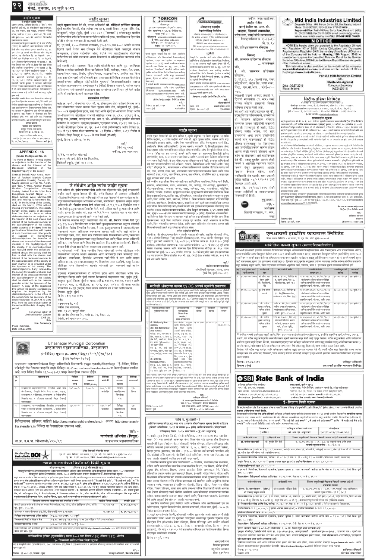ववशक्ति मुंबई, बुधवार, ३१ जुलै २०१९

जाहीर सूचना जाहीर सूचना **ORICON** वकील जयंत वाळींजकर **Mid India Industries Limited** advanced enzymes **ENTERPRISES LTD.** जे संबंधित आहेत त्यांना जाहीर नोटीस Corporate Office : 405, Princes Centre, 6/3, New Palasia, Indone-1 याद्वारे सूचना देण्यात येते की, माझ्या अशिलांनी श्री. सॅव्हिओ फ्रॉन्सिस ब्रॅगान्झा आमचे अशील, ॲक्सिस बँक लि. (''बँक'') यांनी सीआयएन वसई येथील मा. आर. डी. ॲडव्हान्स्ड् एन्झाईम Phone: 0731-2433231, 2543402. Fax: 0731-2530916 एल२८१००एमएच१९६८पीएलसी०१४१५६ कळविले आहे की, श्री. रमेश हिराजी शाह हे शॉप क्र मुंबई भारतीय निवासी, प्रौढ ज्यांचा पत्ता ७०३, शाली निवास, हनुमान मंदिर रोड, Registered Office: Textile Mill Area, Station Road, Mandsaur-1 (M.P. टेक्नॉलॉजिज लिमिटेड नोंद. कार्यालयः १०७६, डॉ. ई मोझेस रोड, चव्हाण, दिवाणी न्यायाधीश, १२, तळ मजला, सत्रा प्लाझा, एपीएमसी पोलिस् कांजूरमार्ग, भांडुप (पूर्व), मुंबई-४०० ०४२ (''मालक'') यांच्याकडून खालील Ph.: 07422-234999, Fax: 07422-234374 e-mail: camidindia@gmail.com वरळी, मुंबई-४०० ०१८. स्टेशन, प्लॉट क्र. १९ व २०, सेक्टर-१९/डी, वाशी, (सीआयएनः एल२४२००एमएच१९८९पीएलसी०५१०१८) वरिष्ठ स्तर, वसई यांचे न्यायालयात website: www.midindiaindustries.com CIN: L17124MP1991PLC006324 परिशिष्टातील वर्णन केलेल्या मालमत्तेतील त्यांचे सर्व हक्क, नामाधिकार व हितसंबंध नवी मुंबई-४०० ७०३ येथे असलेल्या मिळकतीचे संकेतस्थळ : www.oriconenterprises.com रजि. कार्यालय: ५ वा मजला, 'ए' विंग, सन मॅग्नेटिका एलआयसी विवाह याचिका क्र. २७/२०१७ एकमेव मालक आहेत ई−मेल ः share@ocl-india.com सर्व्हिस रोड, लुईसवाडी, ठाणे, महाराष्ट्र-४०० ६०४ NOTICE खरेदी व संपादन करण्यासाठी वाटाघाटी केली आहे. टेलि क्र.: ०२२-२४९६४६५६-६० संकेतस्थळ:www.advancedenzymes.com नि. क्र. १४ सदर कागदपत्रांचे मुळपत असलेले १) मे. सत्रा प्रॉपर्टीज् दि. १९ मार्च, २००८ रोजीच्या बीडीआर/१४-१८४५ सन २००८ अंतर्गत व त्याच NOTICE is hereby given that pursuant to the Regulation 29 read **फॅक्स**ः०२२–२४९६३०५५ (इंडिया) लि. आणि श्री. रमेश हिराजी शाह आणि सौ ईमेलः investor.grievances@advancedenzymes.com |सौ. प्रतिक्षा लालमन रविदास with Regulation 47 of SEBI (Listing Obligations and Disclosure हिवशी कुर्ला येथील सब रजिस्ट्रार येथे नोंदणीकृत विक्री कराराद्वारे बीकॉन प्रिती रमेश शाह यांच्या दरम्यान दस्तावेज अन्. क्र. फोन: +९१-२२-४१७० ३२००, फॅक्स: +९१-२२-२५८३ ५१५९ सूचना … अर्जदार Requirements) Regulation 2015, the meeting of the Board of Directors १०२८/२०११ अन्वये सब रजिस्टार ऑफ ॲशुरन्स कन्स्ट्रक्शन, इंडियन पार्टनरशिप ॲक्ट १९३२ च्या तरतुदीअंतर्गत नोंदणीकृत सूचना .<br>याद्वारे सूचना देण्यात येते की, सेबी (लिस्टिंग of the Company will be held on Monday, 12th August, 2019 to ठाणे-६ सह नोंदणीकृत दि. २४ फेब्रुवारी, २०११ विरुध्द consider and approve the Unaudited Financial Result for the Quarter पार्टनरशिप फर्म यांनी मालकांना आवार विकण्याचे व अभिहस्तांकन करण्याचे मान्य .<br>ऑब्लिगेशन्स अँड डिस्क्लोजर्स रिक्वायरमेंट्स) .<br>सिक्युरिटीज एक्सचेंज बोर्ड ऑफ इंडिया (लिस्टिंग रोजीची मूळ नोंदणीकृत करार २) दि. २५ फेब्रुवारी, श्री. लालमन छोटेलाल रविदास .<br>रेग्युलेशन्स, २०१५ च्या रेग्युलेशन ४७ सहवाचता Ended on 30th June, 2019 & Limited Review Report thereon along with ऑब्लिगेशन्स अँड डिस्क्लोजर रिक्वायरमेंट्स) रेग्युलेशन्स, किले आहे. २०११ रोजीची नोंदणीकृत पावती ची मूळप्रत. ३) श्री. other routine businesses. रेग्युलेशन २९ (१) (ए) अन्वये कंपनीच्या संचालक … सामनेवाले २०१५ ला अनुसरून याद्वारे सूचना देण्यात येते की, रमेश हिराजी शाह आणि सौ. प्रिती रमेश शाह यांच्या |सर्व व्यक्ती ज्यांना मालमत्ता किंवा त्यांचे कोणतेही भाग आणि मूळ नामाधिकार This intimation is also available on the website of the company मंडळाची सभा दिनांक ३० जून, २०१९ रोजीस कंपनीच्या संचालक मंडळाची सभा ३० जून, २०१९ रोजी | प्रति, नावे असलेली अनुक्रमणिका ॥ ची मूळप्रत ४) दि. www.midindiaindustries.com and also on the website of Stock विलेख दस्तावेज यासंदर्भात किंवा या विरोधात विक्री, भाडेपट्टा, गहाण, भेट, प्रभार, संपलेल्या तिमाहीसाठी कंपनीचे अलिप्त आणि संपलेल्या तिमाहीसाठी अन्य बार्बीसह कंपनीच्या ०३/१२/२०१२ रोजीची एनओसीची मुळप्रत ५) रु  $\overline{\mathbf{S}}$ . श्री. लालमन छोटेलाल Exchange at www.bseindia.com. एकत्रित अलेखापरिक्षित वित्तीय निष्कर्ष इतर बार्बीसह धारणाधिकार न्यास, निर्वाह, सुविधाधिकार, अग्रक्रयाधिकार, प्रलंबित वाद किंवा अलेखापरिक्षित वित्तीय निष्कर्षांना (अलिप्त व एकत्रित) १,००,०००/- आणि रु. १६,०४,०००/- रुपयांची रविदास. विचारात घेण्यासाठी आणि मंजूर करण्यासाठी For Mid India Industries Limited विचारात घेणे व मंजुरी घेण्यासाठी गुरूवार, ०८ ऑगस्ट, पैसे भरल्याची पावतीची मुळप्रत ६) दि. अशा इतर कोणत्याही मार्गे कोणताही दावा असल्यास तो लिखित स्वरूपात वैध/योग्य शुक्रवार, दिनांक ०९ ऑगस्ट, २०१९ रोजी घेण्यात Sd/-|रा. सी.इ.ए. ४६४, लक्ष्मी नगर, शंकर २०१९ रोजी घेण्यात येणार आहे. १९/१२/२०१२ रोजीचा आयआयएफएल द्वारे दस्तावेजांच्या अधिकृत फोटोकॉपीज पुष्ठ्यर्थ निम्नस्वाक्षरीकारांना माझ्या येणार आहे. **Shailendra Agrawal** एनओसी पत्राची मुळप्रत हे आमच्या अशिलांद्वारे माहिती कंपनीचे संकेतस्थळ म्हणजेच www.advance-|मंदिराशेजारी, मेहल रोड, वाशी नाका. ही माहिती कंपनीचे संकेतस्थळ म्हणजेच www.orico-Company Secretary कार्यालयात प्रकाशनाच्या तारखेपासून १४ (चौदा) दिवसांत कळवावे, नाहीतर माझ्या Date: 30.07.2019 त्यांच्या ताब्यात असताना हरवले आहे. सदर मिळकत denzymes.com आणि स्टॉक एक्सचेंजसचे संकेतस्थळ  $\left|\left. \vec{\mathsf{u}}\right.\vec{\mathsf{a}}\mathsf{g}, \right.\left.\left.\mathsf{w}\mathsf{n}.\vec{\mathsf{w}}\right.\vec{\mathsf{a}}\mathsf{w}, \left.\vec{\mathsf{u}}\right.\vec{\mathsf{g}}\vec{\mathsf{s}}\text{-}\mathsf{x} \circ \circ\right|$ nenterprises.com आणि स्टॉक एक्सचेंजेसचे (ACS-25819) Place : Indore ही श्री. रमेश हिराजी शाह आणि सौ. प्रिती रमेश शाह अशिलांच्या नावे मालमत्तेचे हस्तांतरण अशा दाव्यांच्या संदर्भाशिवाय पूर्ण केले जाईल म्हणजेच www.nseindia.com आणि www.bsein-संकेतस्थळ www.bseindia.com आणि  $0.08$ . यांच्या ताब्यात आहे आणि ते सर्व भारांपासून पूर्णतः dia.com यावरही उपलब्ध आहे. आणि तो त्यागित केल्याचे मानण्यात येईल. www.nseindia.com यावरही उपलब्ध असणार आहे. ज्याअर्थी सदरचे अर्जदार ह्यांनी मे. मक्त आहे. ॲडव्हान्स्ड् एन्झाईम टेक्नॉलॉजिज् लि.करिता मंडळाच्या आदेशावरून मालमत्तेचे परिशिष्ट सिट्रीक इंडिया लिमिटेड कोणतीही व्यक्ती जीला सदर मिळकतीवर कोणतार्ह दिवाणी न्यायाधीश (व. स्तर) वसई ओरिकॉन एंटरप्रायझेस लिमिटेड करिता सही/-दावा किंवा हितसंबंध असल्यास त्यांने/तिने त्यांचे दावे फ्लॅट क्र. ७०३, मोजमापित ६५० चौ. फू. (बिल्टअप क्षेत्र) शालिनी निवास अशा सही/-संजय बसंतानी सीआयएन क्रः यु९९९९९एमएच१९६०पीएलसी०११८११ यांच्या कोर्टात प्रस्तुतची विवाह संबंधित दस्तावेजासह जाहीर सूचनेच्या १५ दिवसांच्या दिनांक : २९ जुलै, २०१९ संजय जैन नोंदणीकृत कार्यालय : पंचक, जी. डी. सोमाणी मार्ग, नाशिक रोड, नाशिक - ४२२१०१ कंपनी सचिव आणि स्थळ : ठाणे | ज्ञात सोसायटीचा सातवा मजला स्थित हनुमान मंदिर रोड, कांजुरमार्ग पूर्व, मुंबई– |याचिका दाखल केली आहे. आत खालील पत्त्यावर पोचती करण्याची विनंती आहे. स्थळ: मुंबई कंपनी सचिव कॉर्पोरेट कार्यालय : एम्पायर हाऊस, ३ रा मजला, २१४, डॉ. डी. एन. रोड, फोर्ट, दिनांक : ३०-०७-२०१९ हेड-लीगल जर आम्हाला १५ दिवसांच्या आत कोणतेही दावे प्राप्त ४०० ०४२ बृहन्मुंबईच्या हद्दीत, मुंबई शहर आणि मुंबई उप–नगराच्या जिल्हा आणि त्याअर्थी असे जाहीर करण्यात येते की. मुंबई – ४००००१ दू : (०२२) २२०७८३८१, २२०७८३८२ फॅक्स क्र. : (०२२) २२०७४२९४ न झाल्यास, सदर मिळकत ही कोणत्याही दावे किंव ई-मेल आयडी : citricindia@gmail.com उप-जिल्ह्याच्या नोंदणीकृत याआधी सीटीएस धारक क्र. ८६५, ८६५/१ ते ७, सदरह विवाह याचिकामध्ये, सामनेवाले भारांपासून पूर्णतः मुक्त आहे आणि सदर मिळकतीव सभासदांना सूचना |कांजूर गाव (**आवार**) यासह शाली एस. आर. ए. को-ऑपरेटिव्ह हाऊसिंग सोसायटी श्री. लालमन छोटेलाल रविदास कोणतेही दावे नाहीत, असे काटेकोरपणे गृहीत धरले जाईल .<br>याद्वारे सूचना देण्यात येते की, २८ मे, २०१९ रोजीच्या सूचनेतील कामकाज करण्याकरिता **सिटीक इंडिया लिमिटेड** लिमिटेड चे सदस्यत्व एमयुएम/एसआरए/एचएसजी/टीसी/११८३९ सन २०१० सचिन कांबळे यांच्यावर प्रत्यक्ष नोटिसीची बजावणी च्या सभासदांची ५९ वी वार्षिक सर्वसाधारण सभा (एजीएम) बुधवार, २८ ऑगस्ट, २०१९ रोजी स. ११.०० वा वकील उच्च न्यायालय |अंतर्गत नोंदणीकृत दिनांक २९ जून, २०१९ रोजी (**सोसायटी**) आणि विभिन्न क्र झालेली नसल्यामुळे ही जाहीर नोटीस कंपनीच्या नोंदणीकृत कार्यालयात पंचक, जी. डी. सोमाणी मार्ग, नाशिक रोड, नाशिक – ४२२१०१ येथे होणार आहे. सद्गुरू निवास, तळ मजला, जाहीर सूचना याद्वारे ही सूचना देखील देण्यात येते की, आर्थिक वर्ष २०१८–२०१९ साठी कंपनीच्या सभासदांची नोंदवही आणि भाग | १३५ ते १३९ धारक शेअर प्रमाणपत्र क्र. ५९ दिनांक ८ एप्रिल. २०१२ रोजीस चे प्रसिध्द करीत आहेत. तरी सदर किसान नगर क्र. ३, रोड क्र. २२, हस्तांतरण पुस्तके २३ ऑगस्ट, २०१९ पासून २८ ऑगस्ट, २०१९ पर्यंत (दोन्ही दिवस धरून) बंद राहतील. |प्रत्येकी (दोन्ही मिळून) रु. ५०/– चे पाच शेअर्स (**शेअर्स**). महानगरपालिका गार्डन जवळ, सामनेवाले अगर त्यांचे प्रतिनिधींनी याद्वारे सूचना देण्यात येते की, माझे अशिल १) मृदांग मथुरीया, २) बिपीन मथुरीया, ३) दर्शना अन्य बार्बीसह युजर आयडी व पासवर्ड असलेली रिमोट ई–व्होटींगशी संबंधित माहिती सूचनेच्या प्रतीसह कंपनी किंवा ठाणे (प.)-४०० ६०४, मोबा. ९८३३५०३६५२ |मुंबई, दिनांक १ ऑगस्ट, २०१९ बिपिन मथुरिया, ४) राजेश मथुरिया यांनी मला श्री. सुरेश भुपाल पाटील, मालक आणि सदर त्यांची बाजू मांडण्यासाठी ही नोटीस .<br>कंपनीचे रजिस्ट्रार अँड ट्रान्स्फर एजंटकडे ज्यांनी त्यांचे पत्ते नोंदवले त्या सर्व सभासदांना २६ जुलै, २०१९ रोजी प्रत्यक्षात दि. ३१/०७/२०१९ ठिकाणः नवी मुंबई पाठवली आहे सोसायटीचे सभासद आहेत. आणि जेएम फायनान्शिअल ॲसेट रिकन्स्ट्रक्शन कंपनी लि., सही/-प्रसिध्द झाल्यापासून ३० दिवसांच्या त्या अंतर्गत च्या संबंधित नियमांसह वाचत कंपनी अधिनियम, २०१३ च्या कलम १०८ च्या तरतुदी आणि सेबी (लिस्टींग (कॉसमॉस बँकेचे अभिहस्तांकिती) (तारण धनको) च्यावतीने दि सिक्युरिटायझेशन ॲण्ड आत उपरनिर्दिष्ट प्रकरणी सामील होऊन (जैनी नंद गांगर) .<br>ऑब्लिगेशन अँड डिस्क्लोजर रिक्वायरमेंटस्) रेग्युलेशन्स, २०१५ च्या रेग्युलेशन ४४ ला अनुसरून, कंपनीला तिच्या रिकन्स्ट्रक्शन ऑफ फायनान्शिअल ॲसेट्स ॲण्ड एन्फोर्समेंट ऑफ सिक्युरिटी इंटरेस्ट ॲक्ट, आपले लेखी म्हणणे नोंदवावे आणि वकील, उच्च न्यायालय **APPENDIX - 16** सभासदांना सेंट्रल डिपॉझिटरी सर्व्हिसेस (इंडिया) लिमिटेड (सीडीएसएल) ने पुरवलेल्या रिमोट ई-व्होटींगमार्फत सर्व २००२ (ॲक्ट ५४ सन २००२) अन्वये आणि कलम १३ सहवाचता सिक्युरिटी इंटरेस्ट | २/३३, नव सर्वोदय सोसायटी ठरावांवर इलेक्ट्रॉनिक माध्यमातून मत देण्याचे त्यांचे अधिकार वापरण्याची सुविधा देऊ करताना आनंद होत आहे. तसेच या लेखावरून असे कळविण्यात [Under the Bye-law No. 35 (एन्फोर्समेंट) रुल्स, २००२ (रुल्स) च्या नियम ८ आणि ९ अन्वये प्रदान केलेल्या अधिकाराचा २१ ऑगस्ट, २०१९ ह्या कट-ऑफ डेट रोजीस एकतर प्रत्यक्ष पद्धतीने किंवा डिमटेरिअलाईज्ड पद्धतीने शेअर्स धारण |ए डब्ल्यू व्ही मार्ग, दीक्षित रोड विस्तारित, येते की, सदरह् मुदतीत आपले लेखी The Form of Notice, inviting claims वापर करून विक्री केली. जे सदर परिसर माझ्या अशिलांच्या नावे विक्री, हस्तांतर आणि शेअर्स करणारे सभासद वार्षिक सर्वसाधारण सभेच्या सूचनेत मांडलेले कामकाज करण्याकरिता इलेक्ट्रॉनिक पद्धतीने त्यांचे मत विलेपार्ले (पूर्व), मुंबई-४०० ०५७. or objections to the transfer of the म्हणणे न आल्यास न्यायालय वादीचे देऊ शकतील. रिमोट ई-व्होटिंगची सुरुवात रविवार, २५ ऑगस्ट, २०१९ रोजी स. ०९.०० वा. होईल आणि मंगळवार, सह सदर परिसरासंदर्भातील सर्व अधिकार, फायदा, विशेषाधिकार आणि फायदे आणि ''मातृ shares and the interest of the २७ ऑगस्ट, २०१९ रोजी सं. ०५.०० वा. संपेल. त्यानंतर रिमोट ई-व्होटिंग निष्क्रिय होईल. कोणत्याही सभासदाला मंदिर'' सीएचएस लि., चे सभासदत्व (अधिक तपशिलवारपणे खालील परिशिष्टात वर्णन) सर्व म्हणणे ऐकून प्रस्तुतच्या अर्जात Deceased Member in the वार्षिक सर्वसाधारण सभेची सूचना व वार्षिक अहवाल मिळाला नाही आणि ते जर २० ऑगस्ट, २०१९ ह्या कट–ऑफ Capital/Property of the society. भार, दावा, मागणी, शंका, वाद, भारतामधील कोणत्याही न्यायलामधील विवाद आणि तसेच निकाल देण्यात येईल, याची डेट रोजीस शेअर्स धारण करत असतील ते पुर्वा शेअररजिस्ट्री (इंडिया) प्रायव्हेट लिमिटेडशी संपर्क साधू शकतात. कोणताही प्रभार, गहाण, धारणाधिकार, त्रयस्थ, पक्ष अधिकार, सांपार्श्विक तारण इ. पासून मुक्त Shrimati Inderjit Kaur Arora, mem-सिंबंधितांनी नोंद घ्यावी. सदर प्रकरणी ज्या सभासदांनी रिमोट ई-व्होटिंगमार्फत त्यांची मते दिलेली नसतील त्यांना एजीएममध्ये ई-व्होटिंगची सुविधा पुरवली ber of Andheri Manish Garden सुपूर्द करण्यास राजी झाले आहेत. जाईल. रिमोट ई-व्होटिंगमार्फत मत देण्याचा त्यांचा अधिकार वापरल्यानंतरही सभासद एजीएम मध्ये सहभागी होऊ पुढील तारीख ०४/०९/२०१९ रोजी Co-operative Housing Society Ltd. सर्व व्यक्तींना सदर परिसर किंवा कोणताही भाग आणि/किंवा नामाधिकार विलेख मध्ये विक्री, शकतात, परंतु एजीएममध्ये पुन्हा मत देण्याचा त्यांना हक्क नसेल. कट ऑफ डेट असलेल्या २१ ऑगस्ट, २०१९ रोजी having address at Flat No. A-301 नेमण्यात आली आहे. जे संबंधीत आहेत त्यांना जाहीर सूचना सभासदांच्या नोंदवहीत किंवा कंपनीच्या रजिस्ट्रार अँड शेअर ट्रान्स्फर एजटकडून ठेवल्या जाणाऱ्या लाभार्थी मालकांच्या हस्तांतर, अभिहस्तांकन, वाटप, अदलाबदल, भेट, भाडेपट्टा, पोट-भाडेपट्टा, कुळवहिवाट, 3rd Floor, A Wing, Andheri Manish आज दि. २९/०७/२०१९ रोजी नोंदवहीत ज्यांचे नाव नोंदवले असेल ती व्यक्ती रिमोट ई-व्होटिंगची सुविधा मिळवण्यास तसेच एजीएममध्ये मतदान Garden Co-operative Housing पोट-कुळवहिवाट, परवाना, कब्जा, वापर, भागेवटा, भार, काळजीवाह्, कौटुंबिक माझे अशिल श्री. हेमंत प्रभाकर वैती आणि इतर रहिवासीत येथे-मुंबई यांच्यावतीने करण्यास हक्कदार असेल. Society Limited, Plot No. 2/3/4, Four माझ्या सहीनिशी व न्यायालयाच्या व्यवस्था/तडजोड, इच्छापत्र, मृत्यूपत्रीय दस्तावेज, मृत्यूपत्रप्रमाणे कोणत्याही जोडपत्रासह किंवा सर्वांना याद्वारे सूचना देण्यात येते की, वर्णन मिळकत ही आमच्या अशिलांची इलेक्ट्रॉनिक माध्यमातून मतदानाच्या सुविधेसंबंधातील कोणत्याही तक्रारी किंवा स्पष्टीकरणे यासाठी सभासदांनी कृपया Bungalows, Manish Nagar, J. P. शिवाय प्रशासकीय पत्र, प्रलंबित वाद, सुविधाधिकार, भारतातील कोणत्याही न्यायालयाचा हकूम |शिक्क्यानिशी दिली. Road, Andheri West, Mumbai-400 पुर्वा शेअररजिस्ट्री (इंडिया) प्रायव्हेट लिमिटेड, युनिट नं. ९, शिव शक्ती इंडस्ट्रियल इस्टेट, जे. आर. बोरीचा मार्ग, वडिलोपार्जित मिळकत आहे आणि माझे अशिल सदर मिळकतीचे सह–कर्जदार आहेत. आणि/किंवा आदेश, करार, व्यवस्था, लिखित इ. किंवा याशिवाय कसेहीच्या मार्गे कोणताही 053 and holding flat/tenement No. हुकूमावरून, लोअर परळ (पूर्व), मुंबई - ४०००११ येथे किंवा द्.क्र. (०२२)-२३०१२५१८/२३०१२५१७ वर संपर्क साधावा किंवा सदर मिळकतीमध्ये माझ्या अशिलांचे अधिकार, नामाधिकार, हितसंबंध आहेत. माझ्या A-301 in the building of the society अधिकार, नामाधिकार, हितसंबंध, फायदा, दावा किंवा माणी काही असल्यास लिखित स्वरुपात support@purvashare.com वर ई-मेल पाठवावा. सही/-अशिलांनी **श्री. किशोर वामन वैती** यांच्या नावे ०१/१२/२००६ दिनांकीत परत न died on 5th March, 2018 without सदर परिसर किंवा कोणताही भाग/शेअर्स संबंधीत सर्व पुष्ठ्यर्थ कागदपत्राच्या नोटराईज्ड सत्य संचालक मंडळाच्या आदेशावरून making any nomination. The society घेता येणारे कृळमुखत्यारपत्र निष्पादित केले. माझे अशिल याद्वारे तुम्हाला सांगत आणि अधीक्षक सिटीक इंडिया लिमिटेड साठी प्रमाणित प्रतीसह वकील तनवीर सबलोक, ओम त्रिमूर्ती सीएचएस, २/४९, सायन ट्रॉम्बे hereby invites claims or objections दिवाणी न्यायालय, व . स्तर.

> सर्व संबंधित व्यक्तींना याद्वारे कळविण्यात येते की, **श्री. किशोर वामन वैती** द्वारा ०१/१२/२००६ दिनांकीत परत न घेता येणारे कुळमुखत्यारपत्राच्या अनुसार कोणतेही

जाहीर सूचना देत आहेत की, सदर ०१/१२/२००६ दिनांकीत परत न घेता येणारे, कुळमुख्त्यारपत्र हे रद्द/माघारी आणि परत घेतले आहे.

रोड, मुंबई–४०० ०२२ येथे प्रकाशनाच्या दिनांकापासून १४ (चौदा) दिवसांच्या आत कळविणे. जर दिलेल्या वेळेत वैध दावा न आल्यास माझे अशिल सदर परिसरातील संबंधीत दावा किंवा हितसंबंधाच्या संदर्भ किंवा त्याशिवाय संपादन पूर्ण करतील. काही असल्यास ते त्यागित आणि/किंवा परित्यागित करण्यात येतील. आणि माझ्या अशिलांवर बंधनकारक राहणार नाही

सही/

संचालक

श्रीनिवास सोमाणी

(डीआयएन : ०००७७९३९)

वसई

ठिकाण : मुंबई

दिनांक : ३१ जुलै, २०१९

| within a period of 14 days from the                                                                                                                                                                                                                                                                            | कार्य किंवा विलेख निष्पादित केल्यास, ते सदर कुळमुखत्यारपत्र हे रद्द/माघारी/परत                                                                            |                                                          |                    |                             |                              | किंवा कोणत्याही प्रकारे सदर परिसरावर परिणाम नसेल.                                                                                                                                                                                    |                                                  |                            |                                                                                             |                                         |                                                                               |                             |                                                                                 |                                                                                                                                                                                                                                               |                                 |                   |
|----------------------------------------------------------------------------------------------------------------------------------------------------------------------------------------------------------------------------------------------------------------------------------------------------------------|-----------------------------------------------------------------------------------------------------------------------------------------------------------|----------------------------------------------------------|--------------------|-----------------------------|------------------------------|--------------------------------------------------------------------------------------------------------------------------------------------------------------------------------------------------------------------------------------|--------------------------------------------------|----------------------------|---------------------------------------------------------------------------------------------|-----------------------------------------|-------------------------------------------------------------------------------|-----------------------------|---------------------------------------------------------------------------------|-----------------------------------------------------------------------------------------------------------------------------------------------------------------------------------------------------------------------------------------------|---------------------------------|-------------------|
| publication of this notice, with copies<br>of such documents and other proofs<br>in support of his/her/their                                                                                                                                                                                                   | घेतल्यामुळे माझ्या अशिलांवर बंधनकारक राहणार नाही आणि माझे अशिल हे<br>कोणत्याही तक्रार, दावा, किंवा सदर परिशिष्टात वर्णन मिळकतीच्या आणि/किंवा परत          |                                                          |                    |                             |                              | नोंदणी क्र. बी.ओएम/एचएसजी/३० अंतर्गत महाराष्ट्र को-ऑप. हाऊसिंग सोसायटी ॲक्ट,                                                                                                                                                         | वरील उल्लेखीत परिशिष्ट                           |                            |                                                                                             |                                         | <b>ELICHFL</b>                                                                |                             |                                                                                 | एलआयसी हाऊसिंग फायनान्स लिमिटेड                                                                                                                                                                                                               |                                 |                   |
| claims/objections for transfer of<br>shares and interest of the deceased                                                                                                                                                                                                                                       | न घेता येणाऱ्या कुळमुखत्यारपत्रात नमूद मिळकतींच्या आणि/किंवा माझ्या अशिलांचे                                                                              |                                                          |                    |                             |                              | १९६० अंतर्गत नोंदणीकृत ''मातृ हाऊसिंग सोसायटीज् ॲक्ट, १९६० अंतर्गत नोंदणीकृत ''मातृ<br>मंदिर'' द्वारा जारी असलेले दि. २३/०७/१९७१ चे विभिन्न धारक क्र. २६६ ते २७० (दोन्ही                                                             |                                                  |                            |                                                                                             |                                         | LIC HOUSING FINANCE LTD                                                       |                             |                                                                                 | जीवन प्रकाश बिल्डिंग ४ था मजला, पी. एम. रोड, फोर्ट, मुंबई-४००००१                                                                                                                                                                              |                                 |                   |
| member in the capital/property of                                                                                                                                                                                                                                                                              | अधिकार, नामाधिकार आणि हितसंबंध असलेल्या मिळकतीच्या संदर्भात <b>श्री. किशोर</b>                                                                            |                                                          |                    |                             |                              | एकत्रित) आणि शेअर प्रमाणपत्र क्र. ३६४ अंतर्गत प्रत्येकी रु. ५०/- चे पाच (५) पूर्ण भरणा                                                                                                                                               |                                                  |                            |                                                                                             |                                         |                                                                               |                             |                                                                                 | $\overline{\ket{\text{pi}}$ केतिक कब्जा सूचना (स्थावर मिळकतीकरिता)                                                                                                                                                                            |                                 |                   |
| the society. If no claims/objections<br>are received within the period pre-                                                                                                                                                                                                                                    | वामन वैती यांच्या द्वारा केलेल्या व्यवहाराला जबाबदार राहणार नाही.<br>जर कोणत्याही व्यक्ती किंवा व्यक्तींना किंवा कोणत्याही संस्थेस परिशिष्टात वर्णन       |                                                          |                    |                             |                              | केलेले शेअर्ससह मलबार आणि कंमबाला हिल डिव्हिजनच्या सीटीएस क्र. ६५४ धारक                                                                                                                                                              |                                                  |                            |                                                                                             |                                         |                                                                               |                             |                                                                                 | ज्याअर्थी एलआयसी हाऊसिंग फायनान्स लिमिटेडच्या प्राधिकृत अधिकाऱ्यांनी सिक्युरिटायझेशन ॲण्ड रिकन्स्ट्रक्शन ऑफ फायनान्शियल ॲसेटस्                                                                                                                |                                 |                   |
| scribed above, the society shall be                                                                                                                                                                                                                                                                            | मिळकतीच्या संदर्भात आक्षेप असल्यास आणि कोणत्याही प्रकारे कोणताही दावा,                                                                                    |                                                          |                    |                             |                              | जमिनीवर उभा मुंबई-४०० ००७, ताडदेव, प्लॉट क्र. २७८ येथे मातृ मंदिर अशा ज्ञात इमारतीच्या                                                                                                                                               |                                                  |                            |                                                                                             |                                         |                                                                               |                             |                                                                                 | ऑण्ड एन्फोर्समेंट ऑफ सिक्युरिटी इंटरेस्ट ॲक्ट २००२ अन्वये आणि कलम १३(१२) सहवाचता सिक्युरिटी इंटरेस्ट (एन्फोर्समेंट) रूल्स २००२                                                                                                                |                                 |                   |
| free to deal with the shares and<br>interest of the deceased member in                                                                                                                                                                                                                                         | अधिकार, नामाधिकार, हितसंबंध असल्यास त्याने/तिने ते मला आणि माझ्या                                                                                         |                                                          |                    |                             |                              | २४ व्या मजल्यावर स्थित मोमापित ६५० चौ. फूट. (चटई क्षेत्र) असलेला फ्लॅट क्र. १०३ चे ते<br>सर्व भाग आणि विभाग.                                                                                                                         |                                                  |                            |                                                                                             |                                         |                                                                               |                             |                                                                                 | च्या नियम ३ अन्वये प्रदान केलेल्या अधिकाराचा वापर करून खालील कर्जदारांना सदरह अधिनियमाच्या कलम १३(२) अन्वये मागणी सूचना                                                                                                                       |                                 |                   |
| the capital/property of the society in<br>such manner as is provided under                                                                                                                                                                                                                                     | अशिलांना सदर सूचना प्रकाशनापासून १५ दिवसांच्या आत कळविणे, कसूर केल्यास                                                                                    |                                                          |                    |                             |                              |                                                                                                                                                                                                                                      |                                                  |                            |                                                                                             | सही,                                    |                                                                               |                             |                                                                                 | जारी करून सदरह सूचना प्राप्त झाल्याच्या तारखेपासून ६० दिवसांत सदरह सूचनेत नमूदनुसार प्रयोज्य व्याजासह एकत्रित त्यांच्या संबंधित नावासमोर                                                                                                      |                                 |                   |
| the bye-laws of the society. The                                                                                                                                                                                                                                                                               | परिशिष्टात वर्णन मिळकतीच्या संदर्भात कोणताही दावा नसल्याचे माझे अशिल                                                                                      |                                                          |                    |                             |                              |                                                                                                                                                                                                                                      |                                                  |                            |                                                                                             | वकील तनवीर सबलोक                        |                                                                               |                             |                                                                                 | नमूद रकमेसह वसुली आणि/किंवा प्रदानाच्या तारखेपर्यंत अनुषंगिक खर्च, परिव्यय, प्रभार इ. ही रक्कम चुकती करण्यास सांगितले होते.                                                                                                                   |                                 |                   |
| claims/objections, if any, received by<br>the society for transfer of shares and                                                                                                                                                                                                                               | समजतील                                                                                                                                                    |                                                          |                    |                             |                              |                                                                                                                                                                                                                                      |                                                  |                            |                                                                                             | ओम त्रिमूर्ती सीएचएस, २/४९, सायन        | अन. कर्जदारांचा कर्ज<br>खाते क्रमांक                                          | कर्जदारांचे                 | तारणमत्तेचे वर्णन                                                               | मागणी केलेली                                                                                                                                                                                                                                  | मागणी सूचनेची                   | कब्जाची<br>तारीख  |
| interest of the deceased member in                                                                                                                                                                                                                                                                             | बृहन्मुंबई महानगरपालिकेच्या टी वॉर्डच्या हद्दीत आणि नोंदणीकृत आणि उप-                                                                                     |                                                          |                    |                             |                              |                                                                                                                                                                                                                                      |                                                  |                            |                                                                                             | ट्रॉम्बे रोड, मुंबई-४०० ०२२.            | क्र.<br>६१०४००००३०९७ श्री. श्रीधर एम.                                         | नाव                         | फ्लॅट क्र. १२०५, बिल्डिंग जी                                                    | रक्कम (रु.)<br>$5.5008$ COS. 24 $84/08/2088$                                                                                                                                                                                                  | तारीख<br>१५-०४-२०१९ २६-जुलै-१९  |                   |
| the capital/property of the society<br>shall be dealt with in the manner                                                                                                                                                                                                                                       | नोंदणीकृत जिल्हा आणि मुंबई उपनगर जिल्ह्यामध्ये गव्हाणपाडा गाव, मुलुंड (पूर्व),<br>तालुका-कुर्ला, जिल्हा-मुंबई चा धारक सर्व्हे क्र १४३/१, १४३/४, १४४/२ आणि |                                                          |                    |                             |                              |                                                                                                                                                                                                                                      |                                                  |                            |                                                                                             |                                         |                                                                               | तोलर आणि                    | ६, उन्नथी ग्रीन्स, फेज-७,                                                       | रोजीप्रमाणे अधिक वरील उल्लेखित                                                                                                                                                                                                                |                                 |                   |
| provided under the bye-laws of the                                                                                                                                                                                                                                                                             | १४४/१५ भाग, इ. सी.टी.एस. क्र. ५०३, ४९६, ४९३ इ. शी संलग्न एकत्रित                                                                                          |                                                          |                    |                             |                              |                                                                                                                                                                                                                                      |                                                  |                            |                                                                                             |                                         |                                                                               | सौ. विश्रांती पी            | घोडबंदर रोड, ठाणे (प.)                                                          | रकमेवर सांपाश्विंक दराने व्याज यासह                                                                                                                                                                                                           |                                 |                   |
| society. A copy of the registered<br>bye-laws of the society is available &                                                                                                                                                                                                                                    | मोजमापित २७ गुंठे (अंदाजे) किंवा तत्सम जमीनीचे सर्व ते भाग आणि विभाग.                                                                                     |                                                          |                    |                             |                              | सरफैसी ॲक्टच्या कलम १३ (२) अन्वये सूचनेचे प्रकाशन                                                                                                                                                                                    |                                                  |                            |                                                                                             |                                         |                                                                               | बेंदे                       |                                                                                 | अनुषंगिक खर्च, परिव्यय, आणि प्रभार.                                                                                                                                                                                                           |                                 |                   |
| required for inspection by the                                                                                                                                                                                                                                                                                 | $\parallel$ ठिकाण ः मुलुंड, मुंबई $\parallel$                                                                                                             |                                                          |                    |                             |                              | .<br>सूचना याद्वारे देण्यात येते की, खालील नमूद कर्जदार/हमीदार ज्यांनी वित्तीय संस्थेकडून त्यांनी घेतलेल्या कर्ज सुविधेची<br>मुद्दल आणि व्याजाचा परतावा करण्यात कसूर केलेली आहे. आणि ज्यांचे कर्ज खाते नॉन परफॉर्मिंग ॲसेटस् (एनपीए) |                                                  |                            |                                                                                             |                                         | २. ६१११००००२७७६ कु. श्रेया श्रीधर                                             | धाडवे                       | फ्लॅट क्र. ५०३, बिल्डिंग क्र.<br>१२, सिद्धीविनायक टॉवर,                         | रु. २५३१५६१.७६ २८/०७/२०१८<br>रोजीप्रमाणे अधिक वरील उल्लेखित                                                                                                                                                                                   | २८-०७-२०१८ २४-जुलै-१९           |                   |
| claimants/objectors, in the office of<br>the society/with the secretary of the                                                                                                                                                                                                                                 | दिनांक : ३०/०७/२०१९                                                                                                                                       |                                                          |                    |                             |                              | म्हणून वर्गीकृत झाले आहे. त्यांच्या अंतिम ज्ञात पत्त्यावर सिक्युरिटायझेशन ॲण्ड रिकन्स्ट्रक्शन ऑफ फायनान्शियल                                                                                                                         |                                                  |                            |                                                                                             |                                         |                                                                               |                             | मनवेलपाडा रोड, विरार (पूर्व)                                                    | रकमेवर सांपार्श्विक दराने व्याज यासह                                                                                                                                                                                                          |                                 |                   |
| society between 11.00 A.M. to 2.00                                                                                                                                                                                                                                                                             | सिही/-                                                                                                                                                    |                                                          |                    |                             |                              | ॲसेटस् ॲण्ड एन्फोर्समेंट ऑफ सिक्युरिटी इंटरेस्ट ॲक्ट, २००२ (सरफैसी ॲक्ट) च्या कलम १३ (२) अन्वये सूचना<br>त्यांना जारी करण्यात आली होती, परंतु ती न बजावता परत आली आणि त्यामुळे त्यांना सदर जाहीर सूचनेद्वारे याद्वारे                |                                                  |                            |                                                                                             |                                         |                                                                               |                             |                                                                                 | अनुषंगिक खर्च, परिव्यय, आणि प्रभार.                                                                                                                                                                                                           |                                 |                   |
| P.M. from the date of publication of<br>the notice till the date of expiry of its                                                                                                                                                                                                                              | $\vert$ पदमनाभन के. मारी $\vert$                                                                                                                          |                                                          |                    |                             |                              | कळविण्यात येत आहे.                                                                                                                                                                                                                   |                                                  |                            |                                                                                             |                                         | 3.8000002089                                                                  | श्री. संजीव                 | फ्लॅट क्र. डी १/७०, अंधेरी                                                      | 5.9648488.0304872080                                                                                                                                                                                                                          | ०५-१२-२०१८ २५-जुलै-१९           |                   |
| period.                                                                                                                                                                                                                                                                                                        | वकील उच्च न्यायालय.                                                                                                                                       |                                                          |                    |                             |                              | कर्जदार/हमीदार/तारण                                                                                                                                                                                                                  | अंमलबजावणी                                       | सूचनेची                    | एनपीएची                                                                                     | थकबाकी                                  |                                                                               | कुमार आणि क.<br>बबिता संजीव | वर्सोवा समता सीएचएसएल,<br>एमटीएनएल ऑफिसजवळ,                                     | रोजीप्रमाणे अधिक वरील उल्लेखित<br>रकमेवर सांपार्श्विक दराने व्याज यासह                                                                                                                                                                        |                                 |                   |
| For and on behalf of                                                                                                                                                                                                                                                                                           | $\ $ पत्ता ः १३०२, कस्तुरी टॉवर,                                                                                                                          |                                                          |                    |                             |                              | पुरविणाऱ्याचे नाव                                                                                                                                                                                                                    | करावयाच्या<br>मिळकतीचा                           | तारीख                      | तारीख                                                                                       | रक्कम                                   |                                                                               | कुमार                       | अंधेरी, मुंबई - ४०००५३                                                          | अनुषंगिक खर्च, परिव्यय, आणि प्रभार.                                                                                                                                                                                                           |                                 |                   |
| Andheri Manish Garden<br>CHS Ltd.                                                                                                                                                                                                                                                                              | दीप जयदीप सीएचएस लि., प्लॉट क्र. २४, सेक्टर-८,<br>$\frac{1}{2}$ ऐरोली, नवी मुंबई-४०० ७०८.                                                                 |                                                          |                    |                             |                              |                                                                                                                                                                                                                                      | तपशील /                                          |                            |                                                                                             |                                         | 8.8900000208                                                                  | श्री. संजीव                 | फ्लॅट क्र. २७-२८, बिंग -ए.                                                      | 5.4954949.25047877082                                                                                                                                                                                                                         | ०५-१२-२०१८ २५-जुलै-१९           |                   |
| Sd/-                                                                                                                                                                                                                                                                                                           |                                                                                                                                                           |                                                          |                    |                             |                              | श्री. गिरिजेश शंभू मिश्रा                                                                                                                                                                                                            | तारण मत्तेचा पत्ता<br>गाव-बोईसर, तालुका          |                            | 0805.00.09 3805.30.50                                                                       |                                         |                                                                               | कुमार आणि कृ.               | संजिवनी बिल्डिंग, मराठा                                                         | रोजीप्रमाणे अधिक वरील उल्लेखित                                                                                                                                                                                                                |                                 |                   |
| Hon. Secretary<br>Place: Mumbai.                                                                                                                                                                                                                                                                               |                                                                                                                                                           |                                                          |                    |                             |                              | (कर्जदार)                                                                                                                                                                                                                            | आणि जिल्हा-पालघर                                 |                            |                                                                                             | 82,34,838/                              |                                                                               | बबिता संजीव<br>कमार         | कॉलनी, वामनराव सावंत<br>मार्ग, दहिसर (पूर्व),                                   | रकमेवर सांपार्श्विक दराने व्याज यासह<br>अनुषंगिक खर्च, परिव्यय, आणि प्रभार.                                                                                                                                                                   |                                 |                   |
| Date: 31.07.2019.                                                                                                                                                                                                                                                                                              |                                                                                                                                                           |                                                          |                    |                             |                              | श्रीम. रिंकी गिरिजेश मिश्रा<br>(सह-कर्जदार)                                                                                                                                                                                          | येथे स्थित आणि<br>  असलेले धारक सर्व्हे क्र.     |                            |                                                                                             |                                         |                                                                               |                             | मुंबई – ४०००६८                                                                  |                                                                                                                                                                                                                                               |                                 |                   |
|                                                                                                                                                                                                                                                                                                                |                                                                                                                                                           |                                                          |                    |                             |                              | फ्लॅट क्र. २०२, २रा मजला, ए- ७४/१, (न्यू एस. क्र.                                                                                                                                                                                    |                                                  |                            |                                                                                             |                                         |                                                                               |                             |                                                                                 | * संबंधित मागणी सूचनेनुसार वसुली आणि/किंवा प्रदानाच्या तारखेपर्यंत प्रयोज्य पुढील व्याज, उपार्जित अनुषंगिक खर्च, परिव्यय, प्रभार इ.                                                                                                           |                                 |                   |
|                                                                                                                                                                                                                                                                                                                |                                                                                                                                                           |                                                          |                    |                             |                              | विंग, इमारत क्र. ५, सेक्टर ८, ४६/१), ७४/२ (न्यू<br>ड़ीम सिटी, धनानी नगर, शेगाव एस / क. ४६ / २),                                                                                                                                      |                                                  |                            |                                                                                             |                                         |                                                                               |                             |                                                                                 | तथापि, येथे वरील नमूद कर्जदारांनी थकबाकी रक्कम चुकती करण्यास कसूर केली आहे म्हणून विशेषत: वरील नमूद कर्जदार आणि सर्वसामान्य                                                                                                                   |                                 |                   |
|                                                                                                                                                                                                                                                                                                                | <b>Ulhasnagar Municipal Corporation</b>                                                                                                                   |                                                          |                    |                             |                              | रोड, बोईसर (पूर्व)-४०१५०१                                                                                                                                                                                                            | ७५ (न्यू एस/क्र. ४७),                            |                            |                                                                                             |                                         |                                                                               |                             |                                                                                 | जनतेला सूचना याद्वारे देण्यात येते की, एलआयसीएचएफएलच्या प्राधिकृत अधिकाऱ्यांनी वरील नमूद तारखेस सदरह अधिनियमाच्या कलम १४                                                                                                                      |                                 |                   |
|                                                                                                                                                                                                                                                                                                                | उल्हासनगर महानगरपालिका, उल्हासनगर                                                                                                                         |                                                          |                    |                             |                              | येथे देखील राहणार<br>रूम क्र. १६, साई सदन आणि ८५ (न्यू एस/क्र.                                                                                                                                                                       | ७६ (न्यू एस/क्र. ४५)                             |                            |                                                                                             |                                         |                                                                               |                             |                                                                                 | अन्वये त्याला/त्यांना प्रदान केलेल्या अधिकाराचा वापर करून येथे वरील नमूद मिळकती/तारण मत्तांचा कब्जा घेतला आहे.                                                                                                                                |                                 |                   |
|                                                                                                                                                                                                                                                                                                                |                                                                                                                                                           |                                                          |                    |                             |                              | कॉम्प्लेक्स, वालिव, गणेश मंदीर                                                                                                                                                                                                       | ४४) एन. ए जमिनीवर                                |                            |                                                                                             |                                         |                                                                               |                             |                                                                                 | विशेषत: येथे वरील नमूद कर्जदार आणि सर्वसामान्य जनतेला याद्वारे सावधान करण्यात येते की, त्यांनी वरील सदर मिळकती/ तारण मत्तांसह                                                                                                                 |                                 |                   |
|                                                                                                                                                                                                                                                                                                                | ई–निविदा सूचना क्र. उमपा/विद्युत/टे–२/(२७/२८)                                                                                                             |                                                          |                    |                             |                              | जवळ, वसई पूर्व, पालघर-४०१                                                                                                                                                                                                            | बांधकामीत सेक्टर ८, ए<br>विंग, इमारत क्र.५, डीम  |                            |                                                                                             |                                         |                                                                               |                             |                                                                                 | व्यवहार करू नये आणि सदर मिळकती/तारण मत्तांसह केलेला कोणताही व्यवहार हा एलआयसी हाऊसिंग फायनान्स लिमिटेडच्या गहाणाच्या                                                                                                                          |                                 |                   |
|                                                                                                                                                                                                                                                                                                                | (सन २०१९–२०२०)                                                                                                                                            |                                                          |                    |                             |                              | श्री. धरमेंद झेड.                                                                                                                                                                                                                    | सिटी<br>अशा जात                                  |                            |                                                                                             |                                         | अधीन राहील.                                                                   |                             |                                                                                 |                                                                                                                                                                                                                                               |                                 |                   |
| उल्हासनगर महानगरपालिकेच्या विद्युत अभियांत्रिकी विभागातर्फे इच्छुक एजन्सी/ठेकेदारांकडून ''ई-निविदा/निविदा                                                                                                                                                                                                      |                                                                                                                                                           |                                                          |                    |                             |                              | विश्वकर्मा (हमीदार)<br>रूम क्र. २०२, इमारत क्र. २, अंदाजे २७० चौ.फू.                                                                                                                                                                 | इमारतीमधील मोजमापित                              |                            |                                                                                             |                                         | दिनांक : ३१.०७.२०१९                                                           |                             |                                                                                 |                                                                                                                                                                                                                                               |                                 | प्राधिकृत अधिकारी |
| प्रक्रियेद्वारे दोन लिफाफा पध्दतीने जाहीर निविदा http://umc.maharashtra.etenders.in या वेबसाईटवरून मागवित                                                                                                                                                                                                      |                                                                                                                                                           |                                                          |                    |                             |                              | सी-विंग, धनानी नगर, शेगाव चटई क्षेत्र, २ रा मजला,                                                                                                                                                                                    |                                                  |                            |                                                                                             |                                         | ठिकाण : मुंबई                                                                 |                             |                                                                                 |                                                                                                                                                                                                                                               | एलआयसी हाऊसिंग फायनान्स लिमिटेड |                   |
| आहे. सदर निविदा दिनांक ३१/०७/२०१९ पासून वेबसाईटवर उपलब्ध होईल.                                                                                                                                                                                                                                                 |                                                                                                                                                           |                                                          |                    |                             |                              | रोड, बोईसर (पूर्व)-४०१ ५०१ फ्लॅट क्र. २०२                                                                                                                                                                                            |                                                  |                            |                                                                                             |                                         |                                                                               |                             |                                                                                 |                                                                                                                                                                                                                                               |                                 |                   |
| कामाचे नाव<br>अः                                                                                                                                                                                                                                                                                               | निविदा                                                                                                                                                    | निविदा                                                   | निविदा             | सुरक्षा                     | निविदा                       | वरील कर्जदार आणि/किंवा त्यांचे हमीदार/गहाणवटदार (प्रयोज्य तेथे) यांना सदर सूचना प्रसिद्धी तारखेपासून ६०<br>दिवसांत थकबाकी रक्कम चुकती करण्यासाठी याद्वारे बोलिविण्यात येत आहे. कसूर केल्यास सरफैसी ॲक्टच्या कलम                      |                                                  |                            |                                                                                             |                                         |                                                                               |                             |                                                                                 |                                                                                                                                                                                                                                               |                                 |                   |
| क्र.                                                                                                                                                                                                                                                                                                           | रक्कम                                                                                                                                                     | अनामत                                                    | फॉर्म फी           | अनामत                       | कालावधी                      | १३च्या पोट कलम (४) अन्वये सदर ६० दिवसांच्या समाप्तीनंतर पुढील पावले उचाण्यात येतील. पुढे अधिक तुमच्या                                                                                                                                |                                                  |                            |                                                                                             |                                         |                                                                               |                             |                                                                                 | <b>OSU</b> State Bank of India                                                                                                                                                                                                                |                                 |                   |
|                                                                                                                                                                                                                                                                                                                | रुपये                                                                                                                                                     | रक्कम (EMD)                                              |                    | रक्कम                       |                              | लक्षात आणून देण्यात येते की, सरफैसी ॲक्टच्या कलम १३ (८) अन्वये जर आमच्या थकबाकीसह एकत्रित आम्ही                                                                                                                                      |                                                  |                            |                                                                                             |                                         | प्राधिकृत अधिकाऱ्यांचा तपशील:-                                                |                             |                                                                                 | एसएआरबी, ठाणे ११६९७                                                                                                                                                                                                                           |                                 |                   |
| उल्हासनगर महानगरपालिका क्षेत्रातील अमर डाय                                                                                                                                                                                                                                                                     | $508000$ /-                                                                                                                                               | $5000/-$                                                 | ७०८/- सर्व         | निविदा                      | १२०                          | केलेला सर्व परिव्यय. प्रभार आणि खर्च हा विक्री किंवा हस्तांतरणासाठी निश्चित केलेल्या तारखेपूर्वी कोणत्याही वेळी<br>भरणा केलात तर तारण मत्तेची आमच्याकडून विक्री किंवा हस्तांतर करण्यात येणार नाही आणि तारण मत्तेच्या हस्तांतर        |                                                  |                            |                                                                                             |                                         | नाव:- श्री. आर. एन. अकुलवार                                                   |                             |                                                                                 | १ ला मजला, केरोम बिल्डिंग, एसबीआय वागळे इंड. इस्टेट शाखेबाजूला                                                                                                                                                                                |                                 |                   |
| कंपनीजवळ, सेंच्युरी रेयॉन गेस्ट हाऊस, शहाड,                                                                                                                                                                                                                                                                    |                                                                                                                                                           |                                                          | करांसहित           | कार्यादेशाच्या              | दिवस                         | किंवा विक्रीसाठी आमच्याकडून पुढील पावले उचलण्यात येणार नाहीत.                                                                                                                                                                        |                                                  |                            |                                                                                             |                                         | ईमेल आयडी: ramchandra.akulwar@sbi.co.in                                       |                             |                                                                                 | प्लॉट क्र. ए-११२, रोड क्र. २२ सर्कल, वागळे इंडस्ट्रीयल इस्टेट,                                                                                                                                                                                |                                 |                   |
| उल्हासनगर १ व हिराघाट, उल्हासनगर-३ येथील गणेश                                                                                                                                                                                                                                                                  |                                                                                                                                                           |                                                          |                    | किंमतीवर                    |                              |                                                                                                                                                                                                                                      |                                                  | सही/-<br>प्राधिकृत अधिकारी |                                                                                             |                                         | मोबाईल क्र.: ९०४९९९०८२२/९८२०५६८७५९<br>लॅण्डलाईन क्र. (कार्यालय): ०२२-२५८०६८६१ |                             |                                                                                 | ठाणे (प) ४००६०४. <b>शाखेचा दरध्वनी:</b> ०२२-२५८०६८६६<br>शाखेचा ईमेल आयडी: sarc.thane@sbi.co.in                                                                                                                                                |                                 |                   |
| विसर्जन घाट व परिसरात तात्पुरती विद्युत रोषणाई<br>करण्याबाबत                                                                                                                                                                                                                                                   |                                                                                                                                                           |                                                          |                    | ५%                          |                              |                                                                                                                                                                                                                                      |                                                  |                            | मे. स्वागत हाऊसिंग फायनान्स कंपनी लिमिटेड                                                   |                                         |                                                                               |                             |                                                                                 | ई-लिलाव विक्री सूचना                                                                                                                                                                                                                          |                                 |                   |
| उल्हासनगर महानगरपालिका क्षेत्रातील उल्हासस्टेशन                                                                                                                                                                                                                                                                | ३७५०००/-                                                                                                                                                  | $8000/-$                                                 | ४१२/- सर्व         | निविदा                      | १२०                          | दिनांकः ३०.०७.२०१९                                                                                                                                                                                                                   |                                                  |                            | पत्ताः ए/२०७, लाराम सेंटर, फेडरल बँकेच्या वर<br>रेल्वे स्टेशन समोर, अंधेरी (पश्चिम)-४०० ०५८ |                                         |                                                                               |                             |                                                                                 |                                                                                                                                                                                                                                               |                                 |                   |
| परिसर व कैलाश कॉलनी, उल्हासनगर-५ येथील गणेश                                                                                                                                                                                                                                                                    |                                                                                                                                                           |                                                          | करांसहित           | कार्यादेशाच्या              | दिवस                         | ठिकाणः मुंबई                                                                                                                                                                                                                         |                                                  | फोन क्र.:– ०२२– २६२४८५६५   |                                                                                             |                                         | स्थावर आणि जंगम मत्तेची विक्री                                                |                             |                                                                                 | सिक्युरिटायझेशन अँड रिकन्स्ट्रक्शन ऑफ फायनान्शिअल ॲसेटस् अँड एन्फोर्समेंट ऑफ सिक्युरिटी इंटरेस्ट ॲक्ट, २००२ अन्वये बँकेकडे प्रभारित                                                                                                           |                                 |                   |
| विसर्जन घाट व परिसरात तात्पुरती विद्युत रोषणाई                                                                                                                                                                                                                                                                 |                                                                                                                                                           |                                                          |                    | किंमतीवर                    |                              |                                                                                                                                                                                                                                      |                                                  |                            |                                                                                             |                                         |                                                                               |                             |                                                                                 | निम्नस्वाक्षरीकारांनी <b>स्टेट बँक ऑफ इंडिया</b> चे प्राधिकृत अधिकारी म्हणून सरफैसी ॲक्टच्या कलम १३(४) अन्वये खालील मिळकतींचा <b>सांकेतिक कब्जा</b>                                                                                           |                                 |                   |
| करण्याबाबत.                                                                                                                                                                                                                                                                                                    |                                                                                                                                                           |                                                          |                    | ५%                          |                              |                                                                                                                                                                                                                                      |                                                  |                            |                                                                                             |                                         |                                                                               |                             |                                                                                 | घेतलेला आहे. तमाम जनतेला कळविण्यात येते की, बँकेच्या थकबाकीच्या वसुलीकरिता खालील नमूद बाबीतील प्रभारित मिळकतींचा ई–लिलाव दि.                                                                                                                  |                                 |                   |
| निविदाबाबत सविस्तर माहिती http://umc.maharashtra.etenders.in अथवा http://maharash-                                                                                                                                                                                                                             |                                                                                                                                                           |                                                          |                    |                             |                              |                                                                                                                                                                                                                                      | फॉर्म नं. युआरसी-२                               |                            |                                                                                             |                                         |                                                                               |                             |                                                                                 | २६.०८.२०१९ रोजी (सरफैसी ॲक्ट, २००२ अन्वये) ''जे आहे जेथे आहे तत्त्वाने'', जे आहे जसे आहे तत्त्वाने'' आणि ''जे काही आहे तेथे आहे                                                                                                               |                                 |                   |
| tra.etenders.in निविदा या वेबसाईटवर उपलब्ध आहे.                                                                                                                                                                                                                                                                |                                                                                                                                                           |                                                          |                    |                             |                              | अधिनियमाच्या चॅप्टर XXI च्या भाग l अंतर्गत नोंदणीबाबत सूचना देणारी जाहिरात                                                                                                                                                           |                                                  |                            |                                                                                             |                                         |                                                                               |                             | तत्त्वाने" आणि याखाली विनिर्दिष्ट अटी आणि शर्तींवर करण्यात येणार आहे.           |                                                                                                                                                                                                                                               |                                 |                   |
|                                                                                                                                                                                                                                                                                                                |                                                                                                                                                           |                                                          |                    |                             | सही/-                        | [कंपनी अधिनियम, २०१३ चे कलम ३७४ (बी) आणि कंपन्यांचे (नोंदणीसाठी                                                                                                                                                                      | प्राधिकृत) नियम, २०१४ च्या नियम ४(१) ला अनुसरून] |                            |                                                                                             |                                         |                                                                               | मिळकत क्र.                  |                                                                                 | प्राधिकृत अधिकाऱ्याचे नाव                                                                                                                                                                                                                     | मोबाईल क्र.                     |                   |
|                                                                                                                                                                                                                                                                                                                |                                                                                                                                                           |                                                          |                    |                             |                              |                                                                                                                                                                                                                                      |                                                  |                            |                                                                                             |                                         |                                                                               | १ आणि २                     |                                                                                 | श्री. आर. एन. अकुलवार                                                                                                                                                                                                                         | ९०४९९९०८२२/९८२०५६८७५९           |                   |
|                                                                                                                                                                                                                                                                                                                |                                                                                                                                                           |                                                          |                    | कार्यकारी अभियंता (विद्युत) |                              | १. याद्वारे सूचना देण्यांत येते की, कंपनी अधिनियम, २०१३ च्या कलम ३६६ च्या पोट-<br>कलम (२) च्या अनुषंगाने आजपासून पंधरा दिवसानंतर परंतु ह्यानंतर तीस दिवसांच्या                                                                       |                                                  |                            |                                                                                             |                                         | कर्जदारांचे नाव                                                               |                             | हमीदारांचे नाव                                                                  | जिच्या वसुलीसाठी मिळकत विकली जाणार आहे ती थकबाकी रक्कम                                                                                                                                                                                        |                                 |                   |
| जा.क्र. उ.म.पा./पीआरओ/४२०/१९                                                                                                                                                                                                                                                                                   |                                                                                                                                                           |                                                          |                    | उल्हासनगर महानगरपालिका      |                              | समाप्तीपूर्वी सेंट्रल रजिस्ट्रेशन सेंटर (सीआरसी) येथील रजिस्ट्रार, इंडियन इन्स्टिट्युट ऑफ                                                                                                                                            |                                                  |                            |                                                                                             |                                         | डॉ. मनोज भोज चौबे                                                             |                             | श्री. गुरुदीप सिंग सेठी                                                         | रु. ३४,१६,२१७.१२ + ०१.०९.२०१८ पासूनचे व्याज आणि प्रभार                                                                                                                                                                                        |                                 |                   |
|                                                                                                                                                                                                                                                                                                                |                                                                                                                                                           |                                                          |                    |                             |                              | कॉर्पोरेट अफेअर्स (आयआयसीए), प्लॉट क्र. ६, ७, ८, सेक्टर ५, आयएमटी मानेसर,                                                                                                                                                            |                                                  |                            |                                                                                             |                                         |                                                                               |                             |                                                                                 | मागणी सूचना तारीख- १०.०९.२०१८                                                                                                                                                                                                                 |                                 |                   |
|                                                                                                                                                                                                                                                                                                                |                                                                                                                                                           | ॲसेट रिकव्हरी मॅनेजमेंट शाखा                             |                    |                             |                              | जिल्हा गुरगाव (हरयाणा), पीन कोड – १२२०५० येथे एक अर्ज करण्याचे प्रस्तावित आहे                                                                                                                                                        |                                                  |                            |                                                                                             |                                         |                                                                               |                             |                                                                                 | मिळकतीचे नाव १: फ्लॅट क्र. ई ६/१:४, १ ला मजला, यशोदीप चाळ, सेक्टर २२, कोपरखैरणे, नवी मुंबई ४००७०९, क्षेत्र: ५१.१७० चौ. मी. बिल्टअप,                                                                                                           |                                 |                   |
| <b>Bank of India BOI</b>                                                                                                                                                                                                                                                                                       | एम. डी. आय. बिल्डिंग, तळ मजला, २८, एस. व्ही. रोड, अंधेरी (प.), मुंबई-४०० ०५८                                                                              |                                                          |                    |                             |                              | की, कॉलीडो लर्निंग एलएलपी, ची नोंदणी कंपनी अधिनियम, २०१३ च्या चॅप्टर XXI च्या                                                                                                                                                        |                                                  |                            |                                                                                             |                                         | डॉ. मनोज भोज चौबे यांच्या नावे (सांकेतिक कब्जा)                               |                             |                                                                                 |                                                                                                                                                                                                                                               |                                 |                   |
|                                                                                                                                                                                                                                                                                                                |                                                                                                                                                           | दर. क्र.: २६२१०४०६/०७, ईमेल: Asset.MNZ@bankofindia.co.in |                    |                             |                              | भाग। अंतर्गत शेअर्सची मर्यादित एक कंपनी म्हणून व्हावी.                                                                                                                                                                               |                                                  |                            |                                                                                             |                                         |                                                                               |                             |                                                                                 | ई-लिलावाची तारीख आणि वेळ, तारीख : २६.०८.२०१९ वेळ: स. ११.०० ते दु. १२.०० प्रत्येकी ५ मिनिटांच्या अमर्याद विस्तारासह                                                                                                                            |                                 |                   |
|                                                                                                                                                                                                                                                                                                                | स्थावर मालमत्तेच्या विक्रीसाठी विक्री सूचना                                                                                                               |                                                          |                    |                             |                              | २. प्रस्तावित कंपनीचे मुख्य उद्देश खालीलप्रमाणे :- प्राथमिक, माध्यमिक/उच्च माध्यमिक,                                                                                                                                                 |                                                  |                            |                                                                                             |                                         |                                                                               |                             |                                                                                 | राखीव किंमत: रु. ४६,००,०००/-   इसारा अनामत रक्कम (इअर)= राखीव किंमतीच्या १०% रु. ४,६०,०००/-                                                                                                                                                   |                                 |                   |
|                                                                                                                                                                                                                                                                                                                | जोडपत्र−IV−ए                                                                                                                                              | [नियम ८ (६) ची तरतुदी पहा]                               |                    |                             |                              | तांत्रिक आणि व्यावसायिक माध्यमिक/उच्च माध्यमिक शिक्षण, उच्च शिक्षण, कोचिंग सेंटर्स,                                                                                                                                                  |                                                  |                            |                                                                                             |                                         | बोली वाढविण्याची रक्कम: रु. ५०,०००/-                                          |                             |                                                                                 |                                                                                                                                                                                                                                               |                                 |                   |
| सिक्युरिटायझेशन ॲण्ड रिकन्स्टक्शन ऑफ फायनान्शियल ॲसेट्स ॲण्ड एन्फोर्समेंट ऑफ सिक्युरिटी इंटरेस्ट ॲक्ट, २००२ सहवाचता                                                                                                                                                                                            |                                                                                                                                                           |                                                          |                    |                             |                              | ट्युशन देणे, प्रशिक्षण, शिक्षण, संगणक ज्ञानातील विशेष अभ्यासक्रम घेणे, रेडिओ,                                                                                                                                                        |                                                  |                            |                                                                                             |                                         | सायं. ५.०० पर्यंत                                                             |                             |                                                                                 | सहभागाचे विनंतीपत्र/केवायसी दस्तावेज/इअरचा पुरावा इ. सादर करण्याची तारीख आणि वेळ = २३.०८.२०१९ रोजी किंवा पूर्वी                                                                                                                               |                                 |                   |
|                                                                                                                                                                                                                                                                                                                | सिक्युरिटी इंटरेस्ट (एन्फोर्समेंट) रूल्स, २००२ अंतर्गत स्थावर मत्तेच्या विक्रीकरिता ई-लिलाव विक्री सूचना.                                                 |                                                          |                    |                             |                              | टेलिव्हीजन प्रसारण मार्फत दळणवळणाद्वारे शिक्षण, ई-लर्निंग मॉडेल फ्लिप्ड मॉडेल आणि                                                                                                                                                    |                                                  |                            |                                                                                             |                                         |                                                                               |                             | मिळकतीच्या निरीक्षणाची तारीख आणि वेळ : १६.०८.२०१९ वेळ: स. ९.०० ते स. ११.००      |                                                                                                                                                                                                                                               |                                 |                   |
| याद्वारे सामान्य जनतेस व विशेषतः कर्जदार व हमीदारांना सूचना देण्यात येते की, खालील नमूद स्थावर मालमत्ता तारण धनकोंकडे गहाण/प्रभारित असून ज्याचा<br>प्रत्यक्ष कब्जा <b>बँक ऑफ इंडिया</b> च्या प्राधिकृत अधिकाऱ्याद्वारे संघाच्या वतीने घेण्यात आला आहे ती <b>''जे आहे जेथे आहे'', ''जे आहे जसे आहे'' व ''जे</b> |                                                                                                                                                           |                                                          |                    |                             |                              | शिक्षणाच्या संमिश्र मॉडेल च्या यशस्वी अंमलबजावणीकरिता साधने पुरवण्यापुरते मर्यादित न<br>राहता त्यासह डिस्टन्स लर्निंग मीडिया यासारख्या सर्व शैक्षणिक आणि अनुषंगिक सेवांचा                                                            |                                                  |                            |                                                                                             |                                         |                                                                               |                             |                                                                                 |                                                                                                                                                                                                                                               |                                 |                   |
| काही आहे'' या तत्त्वावर खालील नमूद तारखेस एकूण रु. १९,२८,०९,६२२.८३ पै. [बँक ऑफ इंडिया रु. १२,२०,९०,०९०.६७ पै. अधिक सिंडिकेट                                                                                                                                                                                    |                                                                                                                                                           |                                                          |                    |                             |                              | व्यवसाय करणे. व्यवसायात ई-लर्निंगच्या क्षेत्राशी, फ्लिप्ड मॉडेल, शिक्षणाच्या संमिश्र                                                                                                                                                 |                                                  |                            |                                                                                             |                                         | कर्जदारांचे नाव                                                               |                             | हमीदारांचे नाव                                                                  | जिच्या वसुलीसाठी मिळकत विकली जाणार आहे ती<br>थकबाकी रक्कम                                                                                                                                                                                     |                                 |                   |
| बँक रु. ४,३५,९६,२१४/– अधिक आर्सिल (स्टेट बँक ऑफ इंडिया रु. २,७१,२३,३१८.१६ पै)] अधिक त्यावरील व्याज इ. बँक ऑफ इंडिया,                                                                                                                                                                                           |                                                                                                                                                           |                                                          |                    |                             |                              | मॉडेल, शिक्षण प्रशिक्षण, शाळा सेवा आणि उच्च-माध्यमिक शिक्षणासाठी तयारी अभ्यास                                                                                                                                                        |                                                  |                            |                                                                                             |                                         |                                                                               |                             | श्री एस. के. कानजीलाल- (प्रोप्रा.)   श्री बाळासाहेब धोंडिबा तोतरे               | - रु. ४४,४४,६९४.१७ + २९.११.२०१६ पासूनचे व्याज आणि प्रभार                                                                                                                                                                                      |                                 |                   |
| सिंडिकेट बँक व आर्सिल (स्टेट बँक ऑफ इंडिया) तारण धनकोंना <mark>कर्जदार : मे. डियास्टार ज्वेलरी प्रायव्हेट लिमिटेड व हमीदार – श्री. प्रमोद कुमार</mark><br>जैन, श्री. प्रदीप कुमार जैन, मे. जैन इंटरनॅशनल, मे. डियास्टार इम्पेक्स प्रा. लि., श्रीम. भारती जैन, श्रीम. अनिता प्रमोदकुमार जैन कडून थकीत           |                                                                                                                                                           |                                                          |                    |                             |                              | च्या क्षेत्राशी कोणत्याही प्रकारे संबंधित असलेल्या अन्य कोणत्याही कामकाजाचा समावेश                                                                                                                                                   |                                                  |                            |                                                                                             |                                         | श्री रामचंद्र पांडुरंग बसारे                                                  |                             |                                                                                 | मागणी सूचना तारीख- २९.११.२०१६                                                                                                                                                                                                                 |                                 |                   |
| वसुलीच्यासाठी विकण्यात येईल. राखीव किंमत, इअर, खाते व मालमत्तेचा तपशील खालीलप्रमाणे आहे:-                                                                                                                                                                                                                      |                                                                                                                                                           |                                                          |                    |                             |                              | असेल. कामकाजामध्ये स्वतःच्या शाळा उघडणे आणि/किंवा शाळा चालवणे, फ्रॅंचायजीज                                                                                                                                                           |                                                  |                            |                                                                                             |                                         |                                                                               |                             |                                                                                 | मिळकतीचे नाव २: फ्लॅट क्र. १०१, १ ला मजला, प्लॉट क्र. ७६, सेक्टर क्र. १८, कामोठे बसारे, नवी मुंबई ४१०२०९, प्राईड पॅराडाईज, बिल्ट अप क्षेत्र                                                                                                   |                                 |                   |
|                                                                                                                                                                                                                                                                                                                | विकल्या जाणाऱ्या मालमत्तेचा सर्व तपशील व वर्णन                                                                                                            |                                                          | राखीव किंमत लाखांत |                             | रुपयांत इअर                  | देणे आणि अनुज्ञप्ती देणे तसेच त्या अंतर्गत कामकाज करणे.                                                                                                                                                                              |                                                  |                            |                                                                                             |                                         |                                                                               |                             |                                                                                 | ६२३.०० चौ.फू. टेरेस क्षेत्र १०३.००चौ. फू., एकूण क्षेत्र ७२६.०० चौ. फू., श्री रामचंद्र पांडुरंग बसारे यांच्या नावे (सांकेतिक कब्जा)                                                                                                            |                                 |                   |
| फॅक्टरी इमारत जमीन व पी ॲन्ड एम वगळून येथे प्लॉट क्र. ५८, सीप्झ, मरोळ इंडस्ट्रियल एरिया, अंधेरी                                                                                                                                                                                                                |                                                                                                                                                           |                                                          | रु. ९५८.९२         |                             | $\bar{z}$ . ९५, ८९, २००/-    | ३. प्रस्तावित कंपनीच्या ड्राफ्ट मेमोरॅंडम आणि आर्टिकल्स ऑफ असोसिएशनची एक प्रत                                                                                                                                                        |                                                  |                            |                                                                                             |                                         |                                                                               |                             |                                                                                 | ई-लिलावाची तारीख आणि वेळ, तारीख: २६.०८.२०१९ वेळ: स. ११.०० ते दु. १२.०० प्रत्येकी ५ मिनिटांच्या अमर्याद विस्तारासह.                                                                                                                            |                                 |                   |
| पूर्व, मुंबई - ४०००९६.                                                                                                                                                                                                                                                                                         |                                                                                                                                                           |                                                          |                    |                             |                              | इलेगंट हाऊस, रघुवंशी मिल्स कंपाऊंड, सेनापती बापट मार्ग, लोअर परळ, मुंबई - ४०००१३                                                                                                                                                     |                                                  |                            |                                                                                             |                                         |                                                                               |                             |                                                                                 | राखीव किंमत: रु. ५१,००,०००/-   इसारा अनामत रक्कम (इअर)= राखीव किंमतीच्या १०% रु. ५,१०,०००/-                                                                                                                                                   |                                 |                   |
| मौल्यवान व तत्सम मौल्यवान खडे, हिरे, सोने व चांदी वायर इ. चा स्टॉक                                                                                                                                                                                                                                             |                                                                                                                                                           |                                                          | रु. ४९२.६०         |                             | $\overline{6}$ . ४९,२६,०००/- | येथील कार्यालयात पाहता येतील.                                                                                                                                                                                                        |                                                  |                            |                                                                                             |                                         | बोली वाढविण्याची रक्कम: रु. ५०,०००/-                                          |                             |                                                                                 |                                                                                                                                                                                                                                               |                                 |                   |
| निविदा जमा करण्याची अंतिम तारीख   १६.०८.२०१९ सायं. ५.०० पूर्वी                                                                                                                                                                                                                                                 |                                                                                                                                                           |                                                          |                    |                             |                              | ४. याद्वारे सूचना देण्यांत येते की, कोणत्याही व्यक्तीचा ह्या अर्जास आक्षेप असेल त्यांनी लेखी<br>स्वरूपातील त्यांचा आक्षेप ह्या सूचनेच्या प्रसिद्धीच्या तारखेपासून एकवीस दिवसांत सेंट्रल                                              |                                                  |                            |                                                                                             |                                         |                                                                               |                             |                                                                                 | सहभागाचे विनंतीपत्र/केवायसी दस्तावेज/इअरचा पुरावा इ. सादर करण्याची तारीख आणि वेळ = २३.०८.२०१९ रोजी किंवा पूर्वी                                                                                                                               |                                 |                   |
| लिलावची विक्री तारीख व वेळ                                                                                                                                                                                                                                                                                     | १९.०८.२०१९ दु. १२.०० ते दु. १.०० (अमर्यादित ५ मिनिटांच्या वाढीसह)                                                                                         |                                                          |                    |                             |                              | रजिस्ट्रेशन सेंटर (सीआरसी) येथील रजिस्ट्रार, इंडियन इन्स्टिट्युट ऑफ कॉर्पोरेट अफेअर्स                                                                                                                                                |                                                  |                            |                                                                                             |                                         | सायं. ५.०० पर्यंत                                                             |                             |                                                                                 |                                                                                                                                                                                                                                               |                                 |                   |
| तपासणीची तारीख व वेळ                                                                                                                                                                                                                                                                                           | ०६.०८.२०१९ स. ११.३० ते द. २.००                                                                                                                            |                                                          |                    |                             |                              | (आयआयसीए), प्लॉट क्र. ६, ७, ८, सेक्टर ५, आयएमटी मानेसर, जिल्हा - गुरगाव                                                                                                                                                              |                                                  |                            |                                                                                             |                                         |                                                                               |                             | मिळकतीच्या निरीक्षणाची तारीख आणि वेळ : १३.०८.२०१९ रोजी वेळ: स. ९.०० ते स. ११.०० |                                                                                                                                                                                                                                               |                                 |                   |
| विक्री तपशीलवार अटी व शर्तीसाठी कृपया बँक ऑफ इंडिया तारण धनकोंच्याच्या/वेबसाईट म्हणजेच https://www.bankofindia.co.in मधील लिंकचा संदर्भ घ्यावा.                                                                                                                                                                |                                                                                                                                                           |                                                          |                    |                             |                              | (हरयाणा), पीन कोड – १२२०५० येथे कळवावेत आणि एक प्रत नियोजित कंपनीला तिच्या                                                                                                                                                           |                                                  |                            |                                                                                             |                                         |                                                                               |                             | इसारा अनामत रक्कम २३.०८.२०१९ रोजी सायं. ५.०० वा. किंवा पूर्वी जमा करायची आहे.   |                                                                                                                                                                                                                                               |                                 |                   |
| बँकेस ज्ञात भार- शून्य                                                                                                                                                                                                                                                                                         |                                                                                                                                                           |                                                          |                    |                             |                              | नोंदणीकृत कार्यालयांत पाठवावी.                                                                                                                                                                                                       |                                                  |                            |                                                                                             |                                         |                                                                               |                             |                                                                                 | इच्छुक बोलीदार/खरेदीदारांनी खाते क्र. ३१०४९५७५१५५, आयएफएससी : एसबीआयएन०००१०५३ , खात्याचे नाव : एसबीआय                                                                                                                                         |                                 |                   |
| सांविधानिक इंटरेस्ट (एन्फोर्समेंट) रूल्स २००२ च्या नियम ८ (६)/नियम ९ (१) अंतर्गत                                                                                                                                                                                                                               |                                                                                                                                                           |                                                          |                    |                             |                              | दिनांक ३० जुलै, २०१९                                                                                                                                                                                                                 |                                                  |                            |                                                                                             |                                         |                                                                               |                             |                                                                                 | एसएआरबी ठाणे पेमेंट खाते बँक: स्टेट बँक ऑफ इंडिया, <mark>पत्ता: वागळे इंडस्ट्रियल इस्टेट शाखा, ठाणे पश्चिम कडे आरटीजीएस/एनईएफटी</mark>                                                                                                        |                                 |                   |
|                                                                                                                                                                                                                                                                                                                |                                                                                                                                                           |                                                          |                    |                             |                              |                                                                                                                                                                                                                                      |                                                  |                            |                                                                                             |                                         |                                                                               |                             |                                                                                 |                                                                                                                                                                                                                                               |                                 |                   |
|                                                                                                                                                                                                                                                                                                                | ३० दिवसांची सांविधानिक विक्री सूचना                                                                                                                       |                                                          |                    |                             |                              |                                                                                                                                                                                                                                      |                                                  |                            |                                                                                             | अर्जदारांची नावे                        | द्वारे इअर रक्कम जमा करणे आवश्यक आहे.                                         |                             |                                                                                 |                                                                                                                                                                                                                                               |                                 |                   |
| सदर हे सिक्युरिटी इंटरेस्ट (एन्फोर्समेंट) रूल्स, २००२ च्या नियम ८ (६)/नियम ९ (१) अंतर्गत कर्जदार व हमीदारांना वरील नमूद तारखेस ई-लिलाव विक्री बाबत सदर कर्जाची                                                                                                                                                 |                                                                                                                                                           |                                                          |                    |                             |                              |                                                                                                                                                                                                                                      |                                                  |                            |                                                                                             | चिन्मया कुलकर्णी                        |                                                                               |                             |                                                                                 | विक्रीच्या तपशीलवार अटी आणि शर्तीच्या करिता कृपया स्टेट बँक ऑफ इंडिया, तारण धनकोंची वेबसाईट https://www.sbi.co.in आणि<br>बँकेच्या मान्यताप्राप्त सेवा पुरवठादारांची वेबसाईट https://sbi.auctiontiger.net मध्ये दिलेल्या लिंकचा संदर्भ घ्यावा. |                                 |                   |
| सूचना सुद्धा आहे.                                                                                                                                                                                                                                                                                              |                                                                                                                                                           |                                                          |                    |                             | सही/-                        |                                                                                                                                                                                                                                      |                                                  |                            |                                                                                             | मधु राजेश अग्रवाल<br>श्रीराम सुब्रमणियन | दिनांकः ३०.०७.२०१९                                                            |                             |                                                                                 |                                                                                                                                                                                                                                               |                                 | प्राधिकृत अधिकारी |



from the heir or heirs or other

claimants/objector or objectors to

the transfer of the said shares and

interest of the deceased member in

the capital/property of the society

| विकल्या जाणाऱ्या मालमत्तेचा सर्व तपशील व वर्णन                                                                                                                            | राखीव किंमत लाखांत              | रुपयांत इअर                |                              |  |  |  |
|---------------------------------------------------------------------------------------------------------------------------------------------------------------------------|---------------------------------|----------------------------|------------------------------|--|--|--|
| फॅक्टरी इमारत जमीन व पी ॲन्ड एम वगळून येथे प्लॉट क्र. ५८, सीप्झ, मरोळ इंडस्ट्रियल एरिया, अंधेरी                                                                           | <b>स. ९५८.९२</b>                | $\overline{6}.84,68,800/-$ |                              |  |  |  |
| पूर्व, मुंबई - ४०००९६.                                                                                                                                                    |                                 |                            |                              |  |  |  |
| मौल्यवान व तत्सम मौल्यवान खडे, हिरे, सोने व चांदी वायर इ. चा स्टॉक                                                                                                        |                                 | <i>रु. ४९२.६०</i>          | $\overline{6}$ . ४९,२६,०००/- |  |  |  |
| निविदा जमा करण्याची अंतिम तारीख                                                                                                                                           | १६.०८.२०१९ सायं. ५.०० पूर्वी    |                            |                              |  |  |  |
| १९.०८.२०१९ दु. १२.०० ते दु. १.०० (अमर्यादित ५ मिनिटांच्या वाढीसह)<br>लिलावची विक्री तारीख व वेळ                                                                           |                                 |                            |                              |  |  |  |
| तपासणीची तारीख व वेळ                                                                                                                                                      | ०६.०८.२०१९ स. ११.३० ते द्. २.०० |                            |                              |  |  |  |
| विक्री तपशीलवार अटी व शर्तीसाठी कृपया बँक ऑफ इंडिया तारण धनकोंच्याच्या/वेबसाईट म्हणजेच https://www.bankofindia.co.in मधील लिंकचा संदर्भ घ्यावा.<br>बँकेस ज्ञात भार- शून्य |                                 |                            |                              |  |  |  |
| सांविधानिक इंटरेस्ट (एन्फोर्समेंट) रूल्स २००२ च्या नियम ८ (६)/नियम ९ (१) अंतर्गत                                                                                          |                                 |                            |                              |  |  |  |
| ३० दिवसांची सांविधानिक विक्री सूचना                                                                                                                                       |                                 |                            |                              |  |  |  |
| सदर हे सिक्युरिटी इंटरेस्ट (एन्फोर्समेंट) रूल्स, २००२ च्या नियम ८ (६)/नियम ९ (१) अंतर्गत कर्जदार व हमीदारांना वरील नमूद तारखेस ई-लिलाव विक्री बाबत सदर कर्जाची            |                                 |                            |                              |  |  |  |
| सूचना सुद्धा आहे.                                                                                                                                                         |                                 |                            |                              |  |  |  |

|                                       | तांत्रिक आणि व्यावसायिक माध्यमिक/उच्च माध्यमिक शिक्षण, उच्च शिक्षण, कोचिंग सेंटर्स,          | बो         |
|---------------------------------------|----------------------------------------------------------------------------------------------|------------|
| टरेस्ट ॲक्ट, २००२ सहवाचता             | ट्युशन देणे, प्रशिक्षण, शिक्षण, संगणक ज्ञानातील विशेष अभ्यासक्रम घेणे, रेडिओ,                | स          |
| <b>गव विक्री सूचना</b> .              | टेलिव्हीजन प्रसारण मार्फत दळणवळणाद्वारे शिक्षण, ई-लर्निंग मॉडेल फ्लिप्ड मॉडेल आणि            | स          |
| ानकोंकडे गहाण/प्रभारित असून ज्याचा    | शिक्षणाच्या संमिश्र मॉडेल च्या यशस्वी अंमलबजावणीकरिता साधने पुरवण्यापुरते मर्यादित न         | मि         |
| गहे'', ''जे आहे जसे आहे'' व ''जे      | राहता त्यासह डिस्टन्स लर्निंग मीडिया यासारख्या सर्व शैक्षणिक आणि अनुषंगिक सेवांचा            |            |
| ,९०,०९०.६७ पै. अधिक सिंडिकेट          | व्यवसाय करणे. व्यवसायात ई-लर्निंगच्या क्षेत्राशी, फ्लिप्ड मॉडेल, शिक्षणाच्या संमिश्र         |            |
| <b>यावरील व्याज इ.</b> बँक ऑफ इंडिया, | मॉडेल, शिक्षण प्रशिक्षण, शाळा सेवा आणि उच्च-माध्यमिक शिक्षणासाठी तयारी अभ्यास                | থ          |
| ।टेड व हमीदार – श्री. प्रमोद कुमार    | च्या क्षेत्राशी कोणत्याही प्रकारे संबंधित असलेल्या अन्य कोणत्याही कामकाजाचा समावेश           |            |
| ।निता प्रमोदकुमार जैन कडून थकीत       | असेल. कामकाजामध्ये स्वतःच्या शाळा उघडणे आणि/किंवा शाळा चालवणे, फ्रॅंचायजीज                   | मि         |
|                                       | देणे आणि अनुज्ञप्ती देणे तसेच त्या अंतर्गत कामकाज करणे.                                      | $\epsilon$ |
| रुपयांत इअर<br>मत लाखांत              | ३. प्रस्तावित कंपनीच्या ड्राफ्ट मेमोरँडम आणि आर्टिकल्स ऑफ असोसिएशनची एक प्रत                 | ई-         |
| 99.34<br>$5.84,68,800/-$              | इलेगंट हाऊस, रघुवंशी मिल्स कंपाऊंड, सेनापती बापट मार्ग, लोअर परळ, मुंबई – ४०००१३             |            |
|                                       | येथील कार्यालयात पाहता येतील.                                                                | रा         |
| ९२.६०<br>$\overline{6}$ . ४९,२६,०००/- | ४. याद्वारे सूचना देण्यांत येते की, कोणत्याही व्यक्तीचा ह्या अर्जास आक्षेप असेल त्यांनी लेखी | बो         |
|                                       | स्वरूपातील त्यांचा आक्षेप ह्या सूचनेच्या प्रसिद्धीच्या तारखेपासून एकवीस दिवसांत सेंट्रल      | स          |
| ढीसह)                                 | रजिस्ट्रेशन सेंटर (सीआरसी) येथील रजिस्ट्रार, इंडियन इन्स्टिट्युट ऑफ कॉर्पोरेट अफेअर्स        | सा         |
|                                       | (आयआयसीए), प्लॉट क्र. ६, ७, ८, सेक्टर ५, आयएमटी मानेसर, जिल्हा - गुरगाव                      | मि         |
| lia.co.in मधील लिंकचा संदर्भ घ्यावा.  | (हरयाणा), पीन कोड – १२२०५० येथे कळवावेत आणि एक प्रत नियोजित कंपनीला तिच्या                   | इर         |
|                                       |                                                                                              | इर         |
| ९ (१) अंतर्गत                         | नोंदणीकृत कार्यालयांत पाठवावी.                                                               | एर         |
|                                       | दिनांक ३० जुलै, २०१९                                                                         | द्वा       |
|                                       | अर्जदारांची नावे                                                                             | वि         |
| रखेस ई-लिलाव विक्री बाबत सदर कर्जाची  | चिन्मया कुलकर्णी                                                                             | बॅं        |
| सही/-                                 | मधु राजेश अग्रवाल                                                                            | दि         |
| प्राधिकृत अधिकारी, बँक ऑफ इंडिया      | श्रीराम सुब्रमणियन                                                                           | ਠਿ         |
|                                       |                                                                                              |            |
|                                       |                                                                                              |            |